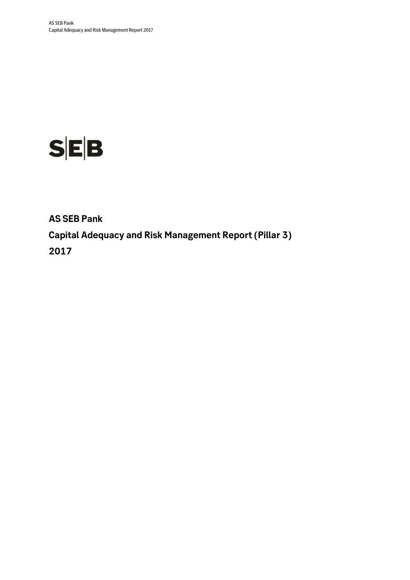

**AS SEB Pank Capital Adequacy and Risk Management Report (Pillar 3) 2017**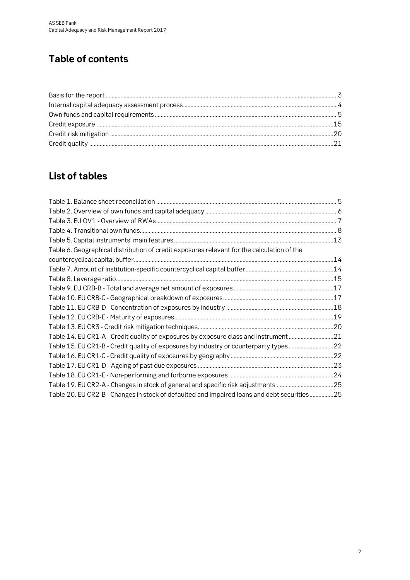# **Table of contents**

## **List of tables**

| Table 6. Geographical distribution of credit exposures relevant for the calculation of the  |  |
|---------------------------------------------------------------------------------------------|--|
|                                                                                             |  |
|                                                                                             |  |
|                                                                                             |  |
|                                                                                             |  |
|                                                                                             |  |
|                                                                                             |  |
|                                                                                             |  |
|                                                                                             |  |
| Table 14. EU CR1-A - Credit quality of exposures by exposure class and instrument 21        |  |
| Table 15. EU CR1-B - Credit quality of exposures by industry or counterparty types 22       |  |
|                                                                                             |  |
|                                                                                             |  |
|                                                                                             |  |
| Table 19. EU CR2-A - Changes in stock of general and specific risk adjustments 25           |  |
| Table 20. EU CR2-B - Changes in stock of defaulted and impaired loans and debt securities25 |  |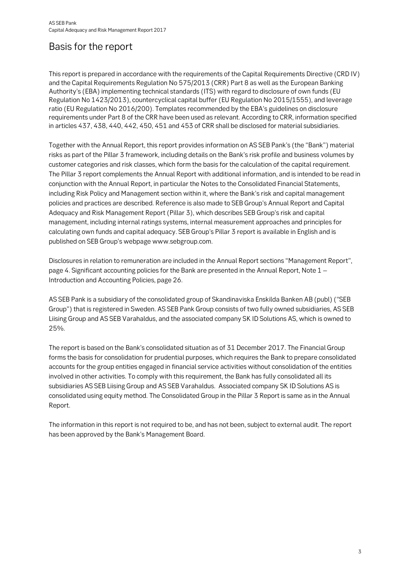## Basis for the report

This report is prepared in accordance with the requirements of the Capital Requirements Directive (CRD IV) and the Capital Requirements Regulation No 575/2013 (CRR) Part 8 as well as the European Banking Authority's (EBA) implementing technical standards (ITS) with regard to disclosure of own funds (EU Regulation No 1423/2013), countercyclical capital buffer (EU Regulation No 2015/1555), and leverage ratio (EU Regulation No 2016/200). Templates recommended by the EBA's guidelines on disclosure requirements under Part 8 of the CRR have been used as relevant. According to CRR, information specified in articles 437, 438, 440, 442, 450, 451 and 453 of CRR shall be disclosed for material subsidiaries.

Together with the Annual Report, this report provides information on AS SEB Pank's (the "Bank") material risks as part of the Pillar 3 framework, including details on the Bank's risk profile and business volumes by customer categories and risk classes, which form the basis for the calculation of the capital requirement. The Pillar 3 report complements the Annual Report with additional information, and is intended to be read in conjunction with the Annual Report, in particular the Notes to the Consolidated Financial Statements, including Risk Policy and Management section within it, where the Bank's risk and capital management policies and practices are described. Reference is also made to SEB Group's Annual Report and Capital Adequacy and Risk Management Report (Pillar 3), which describes SEB Group's risk and capital management, including internal ratings systems, internal measurement approaches and principles for calculating own funds and capital adequacy. SEB Group's Pillar 3 report is available in English and is published on SEB Group's webpage www.sebgroup.com.

Disclosures in relation to remuneration are included in the Annual Report sections "Management Report", page 4. Significant accounting policies for the Bank are presented in the Annual Report, Note 1 – Introduction and Accounting Policies, page 26.

AS SEB Pank is a subsidiary of the consolidated group of Skandinaviska Enskilda Banken AB (publ) ("SEB Group") that is registered in Sweden. AS SEB Pank Group consists of two fully owned subsidiaries, AS SEB Liising Group and AS SEB Varahaldus, and the associated company SK ID Solutions AS, which is owned to 25%.

The report is based on the Bank's consolidated situation as of 31 December 2017. The Financial Group forms the basis for consolidation for prudential purposes, which requires the Bank to prepare consolidated accounts for the group entities engaged in financial service activities without consolidation of the entities involved in other activities. To comply with this requirement, the Bank has fully consolidated all its subsidiaries AS SEB Liising Group and AS SEB Varahaldus. Associated company SK ID Solutions AS is consolidated using equity method. The Consolidated Group in the Pillar 3 Report is same as in the Annual Report.

The information in this report is not required to be, and has not been, subject to external audit. The report has been approved by the Bank's Management Board.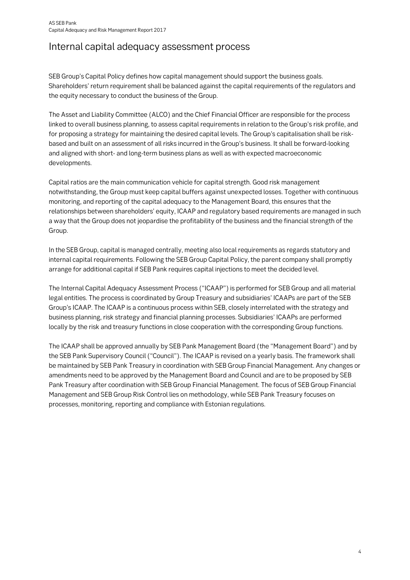## Internal capital adequacy assessment process

SEB Group's Capital Policy defines how capital management should support the business goals. Shareholders' return requirement shall be balanced against the capital requirements of the regulators and the equity necessary to conduct the business of the Group.

The Asset and Liability Committee (ALCO) and the Chief Financial Officer are responsible for the process linked to overall business planning, to assess capital requirements in relation to the Group's risk profile, and for proposing a strategy for maintaining the desired capital levels. The Group's capitalisation shall be riskbased and built on an assessment of all risks incurred in the Group's business. It shall be forward-looking and aligned with short- and long-term business plans as well as with expected macroeconomic developments.

Capital ratios are the main communication vehicle for capital strength. Good risk management notwithstanding, the Group must keep capital buffers against unexpected losses. Together with continuous monitoring, and reporting of the capital adequacy to the Management Board, this ensures that the relationships between shareholders' equity, ICAAP and regulatory based requirements are managed in such a way that the Group does not jeopardise the profitability of the business and the financial strength of the Group.

In the SEB Group, capital is managed centrally, meeting also local requirements as regards statutory and internal capital requirements. Following the SEB Group Capital Policy, the parent company shall promptly arrange for additional capital if SEB Pank requires capital injections to meet the decided level.

The Internal Capital Adequacy Assessment Process ("ICAAP") is performed for SEB Group and all material legal entities. The process is coordinated by Group Treasury and subsidiaries' ICAAPs are part of the SEB Group's ICAAP. The ICAAP is a continuous process within SEB, closely interrelated with the strategy and business planning, risk strategy and financial planning processes. Subsidiaries' ICAAPs are performed locally by the risk and treasury functions in close cooperation with the corresponding Group functions.

The ICAAP shall be approved annually by SEB Pank Management Board (the "Management Board") and by the SEB Pank Supervisory Council ("Council"). The ICAAP is revised on a yearly basis. The framework shall be maintained by SEB Pank Treasury in coordination with SEB Group Financial Management. Any changes or amendments need to be approved by the Management Board and Council and are to be proposed by SEB Pank Treasury after coordination with SEB Group Financial Management. The focus of SEB Group Financial Management and SEB Group Risk Control lies on methodology, while SEB Pank Treasury focuses on processes, monitoring, reporting and compliance with Estonian regulations.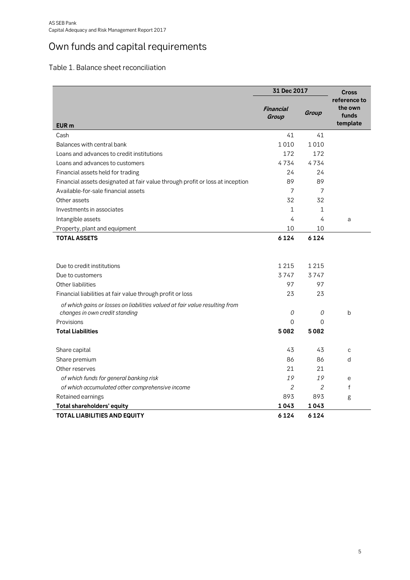# Own funds and capital requirements

## Table 1. Balance sheet reconciliation

|                                                                                                                                                                                                                  | 31 Dec 2017              | <b>Cross</b>             |                                              |
|------------------------------------------------------------------------------------------------------------------------------------------------------------------------------------------------------------------|--------------------------|--------------------------|----------------------------------------------|
| <b>EUR</b> m                                                                                                                                                                                                     | Financial<br>Group       | Group                    | reference to<br>the own<br>funds<br>template |
| Cash                                                                                                                                                                                                             | 41                       | 41                       |                                              |
| Balances with central bank                                                                                                                                                                                       | 1010                     | 1010                     |                                              |
| Loans and advances to credit institutions                                                                                                                                                                        | 172                      | 172                      |                                              |
| Loans and advances to customers                                                                                                                                                                                  | 4734                     | 4734                     |                                              |
| Financial assets held for trading                                                                                                                                                                                | 24                       | 24                       |                                              |
| Financial assets designated at fair value through profit or loss at inception                                                                                                                                    | 89                       | 89                       |                                              |
| Available-for-sale financial assets                                                                                                                                                                              | 7                        | 7                        |                                              |
| Other assets                                                                                                                                                                                                     | 32                       | 32                       |                                              |
| Investments in associates                                                                                                                                                                                        | 1                        | 1                        |                                              |
| Intangible assets                                                                                                                                                                                                | 4                        | 4                        | a                                            |
| Property, plant and equipment                                                                                                                                                                                    | 10                       | 10                       |                                              |
| <b>TOTAL ASSETS</b>                                                                                                                                                                                              | 6124                     | 6124                     |                                              |
| Due to credit institutions<br>Due to customers<br>Other liabilities<br>Financial liabilities at fair value through profit or loss<br>of which gains or losses on liabilities valued at fair value resulting from | 1215<br>3747<br>97<br>23 | 1215<br>3747<br>97<br>23 |                                              |
| changes in own credit standing                                                                                                                                                                                   | 0                        | 0                        | b                                            |
| Provisions                                                                                                                                                                                                       | 0                        | $\Omega$                 |                                              |
| <b>Total Liabilities</b>                                                                                                                                                                                         | 5082                     | 5082                     |                                              |
| Share capital                                                                                                                                                                                                    | 43                       | 43                       | C                                            |
| Share premium                                                                                                                                                                                                    | 86                       | 86                       | d                                            |
| Other reserves                                                                                                                                                                                                   | 21                       | 21                       |                                              |
| of which funds for general banking risk                                                                                                                                                                          | 19                       | 19                       | e                                            |
| of which accumulated other comprehensive income                                                                                                                                                                  | 2                        | $\overline{2}$           | f                                            |
| Retained earnings                                                                                                                                                                                                | 893                      | 893                      | g                                            |
| Total shareholders' equity                                                                                                                                                                                       | 1043                     | 1043                     |                                              |
| <b>TOTAL LIABILITIES AND EQUITY</b>                                                                                                                                                                              | 6124                     | 6124                     |                                              |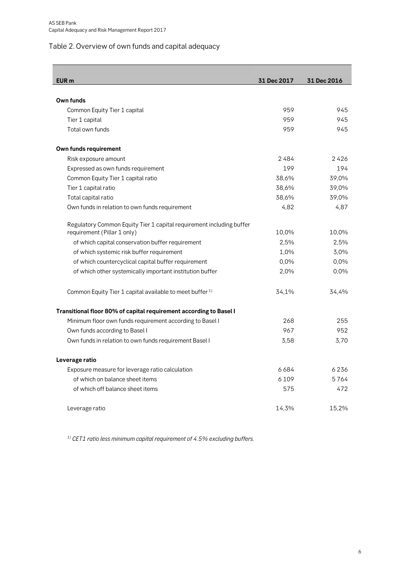## Table 2. Overview of own funds and capital adequacy

| <b>EUR</b> m                                                         | 31 Dec 2017 | 31 Dec 2016 |
|----------------------------------------------------------------------|-------------|-------------|
|                                                                      |             |             |
| Own funds                                                            |             |             |
| Common Equity Tier 1 capital                                         | 959         | 945         |
| Tier 1 capital                                                       | 959         | 945         |
| Total own funds                                                      | 959         | 945         |
| Own funds requirement                                                |             |             |
| Risk exposure amount                                                 | 2484        | 2426        |
| Expressed as own funds requirement                                   | 199         | 194         |
| Common Equity Tier 1 capital ratio                                   | 38,6%       | 39,0%       |
| Tier 1 capital ratio                                                 | 38,6%       | 39,0%       |
| Total capital ratio                                                  | 38,6%       | 39,0%       |
| Own funds in relation to own funds requirement                       | 4,82        | 4,87        |
| Regulatory Common Equity Tier 1 capital requirement including buffer |             |             |
| requirement (Pillar 1 only)                                          | 10,0%       | 10,0%       |
| of which capital conservation buffer requirement                     | 2,5%        | 2,5%        |
| of which systemic risk buffer requirement                            | 1,0%        | 3,0%        |
| of which countercyclical capital buffer requirement                  | 0,0%        | 0,0%        |
| of which other systemically important institution buffer             | 2,0%        | 0,0%        |
| Common Equity Tier 1 capital available to meet buffer <sup>1)</sup>  | 34,1%       | 34,4%       |
| Transitional floor 80% of capital requirement according to Basel I   |             |             |
| Minimum floor own funds requirement according to Basel I             | 268         | 255         |
| Own funds according to Basel I                                       | 967         | 952         |
| Own funds in relation to own funds requirement Basel I               | 3,58        | 3,70        |
| Leverage ratio                                                       |             |             |
| Exposure measure for leverage ratio calculation                      | 6684        | 6236        |
| of which on balance sheet items                                      | 6109        | 5764        |
| of which off balance sheet items                                     | 575         | 472         |
| Leverage ratio                                                       | 14,3%       | 15,2%       |

*1) CET1 ratio less minimum capital requirement of 4.5% excluding buffers.*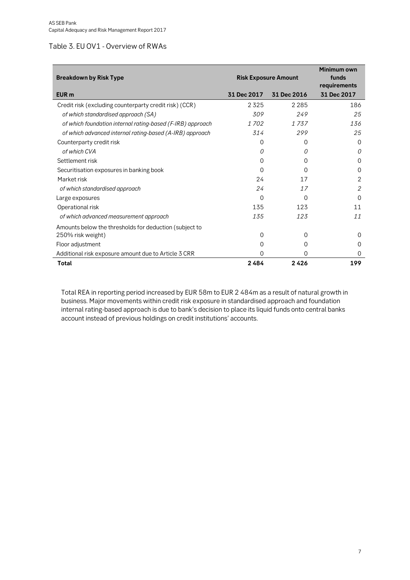#### Table 3. EU OV1 - Overview of RWAs

| <b>Breakdown by Risk Type</b>                              | <b>Risk Exposure Amount</b> | Minimum own<br>funds<br>requirements |             |
|------------------------------------------------------------|-----------------------------|--------------------------------------|-------------|
| EUR <sub>m</sub>                                           | 31 Dec 2017                 | 31 Dec 2016                          | 31 Dec 2017 |
| Credit risk (excluding counterparty credit risk) (CCR)     | 2325                        | 2 2 8 5                              | 186         |
| of which standardised approach (SA)                        | 309                         | 249                                  | 25          |
| of which foundation internal rating-based (F-IRB) approach | 1702                        | 1 737                                | 136         |
| of which advanced internal rating-based (A-IRB) approach   | 314                         | 299                                  | 25          |
| Counterparty credit risk                                   | O                           | $\Omega$                             | Ω           |
| of which CVA                                               | 0                           | 0                                    | 0           |
| Settlement risk                                            | $\Omega$                    | 0                                    | $\Omega$    |
| Securitisation exposures in banking book                   | O                           | $\Omega$                             | O           |
| Market risk                                                | 24                          | 17                                   | 2           |
| of which standardised approach                             | 24                          | 17                                   | 2           |
| Large exposures                                            | $\Omega$                    | $\Omega$                             | O           |
| Operational risk                                           | 135                         | 123                                  | 11          |
| of which advanced measurement approach                     | 135                         | 123                                  | 11          |
| Amounts below the thresholds for deduction (subject to     |                             |                                      |             |
| 250% risk weight)                                          | $\Omega$                    | $\Omega$                             | Ω           |
| Floor adjustment                                           | O                           | $\Omega$                             | O           |
| Additional risk exposure amount due to Article 3 CRR       | 0                           | 0                                    | 0           |
| Total                                                      | 2484                        | 2426                                 | 199         |

Total REA in reporting period increased by EUR 58m to EUR 2 484m as a result of natural growth in business. Major movements within credit risk exposure in standardised approach and foundation internal rating-based approach is due to bank's decision to place its liquid funds onto central banks account instead of previous holdings on credit institutions' accounts.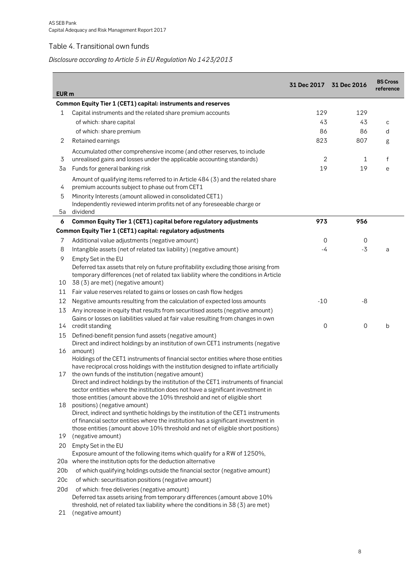## Table 4. Transitional own funds

## *Disclosure according to Article 5 in EU Regulation No 1423/2013*

| EUR <sub>m</sub> |                                                                                                                                                                         | 31 Dec 2017 31 Dec 2016 |      | <b>BS Cross</b><br>reference |
|------------------|-------------------------------------------------------------------------------------------------------------------------------------------------------------------------|-------------------------|------|------------------------------|
|                  | Common Equity Tier 1 (CET1) capital: instruments and reserves                                                                                                           |                         |      |                              |
| 1                | Capital instruments and the related share premium accounts                                                                                                              | 129                     | 129  |                              |
|                  | of which: share capital                                                                                                                                                 | 43                      | 43   | с                            |
|                  | of which: share premium                                                                                                                                                 | 86                      | 86   | d                            |
| 2                | Retained earnings                                                                                                                                                       | 823                     | 807  | g                            |
|                  | Accumulated other comprehensive income (and other reserves, to include                                                                                                  |                         |      |                              |
| 3                | unrealised gains and losses under the applicable accounting standards)                                                                                                  | 2                       | 1    | f                            |
| 3a               | Funds for general banking risk                                                                                                                                          | 19                      | 19   | e                            |
|                  | Amount of qualifying items referred to in Article 484 (3) and the related share                                                                                         |                         |      |                              |
| 4                | premium accounts subject to phase out from CET1                                                                                                                         |                         |      |                              |
| 5                | Minority Interests (amount allowed in consolidated CET1)                                                                                                                |                         |      |                              |
|                  | Independently reviewed interim profits net of any foreseeable charge or                                                                                                 |                         |      |                              |
| 5a               | dividend                                                                                                                                                                |                         |      |                              |
| 6                | Common Equity Tier 1 (CET1) capital before regulatory adjustments                                                                                                       | 973                     | 956  |                              |
|                  | Common Equity Tier 1 (CET1) capital: regulatory adjustments                                                                                                             |                         |      |                              |
| 7                | Additional value adjustments (negative amount)                                                                                                                          | 0                       | 0    |                              |
| 8                | Intangible assets (net of related tax liability) (negative amount)                                                                                                      | -4                      | $-3$ | a                            |
| 9                | Empty Set in the EU                                                                                                                                                     |                         |      |                              |
|                  | Deferred tax assets that rely on future profitability excluding those arising from                                                                                      |                         |      |                              |
|                  | temporary differences (net of related tax liability where the conditions in Article                                                                                     |                         |      |                              |
| 10               | 38 (3) are met) (negative amount)                                                                                                                                       |                         |      |                              |
| 11               | Fair value reserves related to gains or losses on cash flow hedges                                                                                                      |                         |      |                              |
| 12               | Negative amounts resulting from the calculation of expected loss amounts                                                                                                | $-10$                   | -8   |                              |
| 13               | Any increase in equity that results from securitised assets (negative amount)                                                                                           |                         |      |                              |
| 14               | Gains or losses on liabilities valued at fair value resulting from changes in own<br>credit standing                                                                    | 0                       | 0    | b                            |
| 15               | Defined-benefit pension fund assets (negative amount)                                                                                                                   |                         |      |                              |
|                  | Direct and indirect holdings by an institution of own CET1 instruments (negative                                                                                        |                         |      |                              |
| 16               | amount)                                                                                                                                                                 |                         |      |                              |
|                  | Holdings of the CET1 instruments of financial sector entities where those entities                                                                                      |                         |      |                              |
|                  | have reciprocal cross holdings with the institution designed to inflate artificially                                                                                    |                         |      |                              |
| 17               | the own funds of the institution (negative amount)                                                                                                                      |                         |      |                              |
|                  | Direct and indirect holdings by the institution of the CET1 instruments of financial<br>sector entities where the institution does not have a significant investment in |                         |      |                              |
|                  | those entities (amount above the 10% threshold and net of eligible short                                                                                                |                         |      |                              |
| 18               | positions) (negative amount)                                                                                                                                            |                         |      |                              |
|                  | Direct, indirect and synthetic holdings by the institution of the CET1 instruments                                                                                      |                         |      |                              |
|                  | of financial sector entities where the institution has a significant investment in                                                                                      |                         |      |                              |
| 19               | those entities (amount above 10% threshold and net of eligible short positions)<br>(negative amount)                                                                    |                         |      |                              |
| 20               | Empty Set in the EU                                                                                                                                                     |                         |      |                              |
|                  | Exposure amount of the following items which qualify for a RW of 1250%,                                                                                                 |                         |      |                              |
|                  | 20a where the institution opts for the deduction alternative                                                                                                            |                         |      |                              |
| 20 <sub>b</sub>  | of which qualifying holdings outside the financial sector (negative amount)                                                                                             |                         |      |                              |
| 20 <sub>c</sub>  | of which: securitisation positions (negative amount)                                                                                                                    |                         |      |                              |
| 20d              | of which: free deliveries (negative amount)                                                                                                                             |                         |      |                              |
|                  | Deferred tax assets arising from temporary differences (amount above 10%                                                                                                |                         |      |                              |
|                  | threshold, net of related tax liability where the conditions in 38 (3) are met)                                                                                         |                         |      |                              |
| 21               | (negative amount)                                                                                                                                                       |                         |      |                              |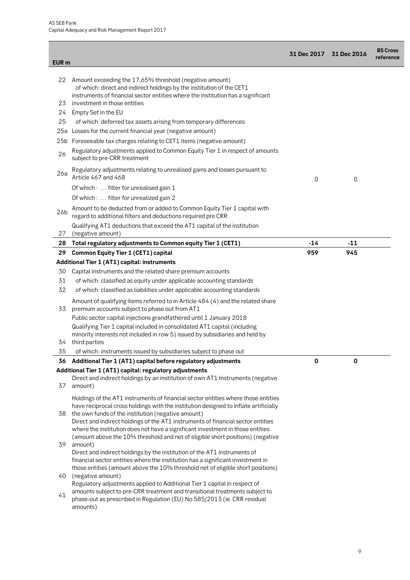| EUR <sub>m</sub> |                                                                                                                                                                                                                                                                                                                                                                                                                                                                                         | 31 Dec 2017 31 Dec 2016 |       | <b>BS Cross</b><br>reference |
|------------------|-----------------------------------------------------------------------------------------------------------------------------------------------------------------------------------------------------------------------------------------------------------------------------------------------------------------------------------------------------------------------------------------------------------------------------------------------------------------------------------------|-------------------------|-------|------------------------------|
|                  |                                                                                                                                                                                                                                                                                                                                                                                                                                                                                         |                         |       |                              |
| 22<br>23         | Amount exceeding the 17,65% threshold (negative amount)<br>of which: direct and indirect holdings by the institution of the CET1<br>instruments of financial sector entities where the institution has a significant<br>investment in those entities                                                                                                                                                                                                                                    |                         |       |                              |
| 24               | Empty Set in the EU                                                                                                                                                                                                                                                                                                                                                                                                                                                                     |                         |       |                              |
| 25               |                                                                                                                                                                                                                                                                                                                                                                                                                                                                                         |                         |       |                              |
|                  | of which: deferred tax assets arising from temporary differences                                                                                                                                                                                                                                                                                                                                                                                                                        |                         |       |                              |
| 25a              | Losses for the current financial year (negative amount)                                                                                                                                                                                                                                                                                                                                                                                                                                 |                         |       |                              |
| 25b<br>26        | Foreseeable tax charges relating to CET1 items (negative amount)<br>Regulatory adjustments applied to Common Equity Tier 1 in respect of amounts                                                                                                                                                                                                                                                                                                                                        |                         |       |                              |
| 26a              | subject to pre-CRR treatment<br>Regulatory adjustments relating to unrealised gains and losses pursuant to<br>Article 467 and 468                                                                                                                                                                                                                                                                                                                                                       | 0                       | 0     |                              |
|                  | Of which :  filter for unrealised gain 1                                                                                                                                                                                                                                                                                                                                                                                                                                                |                         |       |                              |
|                  | Of which:  filter for unrealized gain 2                                                                                                                                                                                                                                                                                                                                                                                                                                                 |                         |       |                              |
| 26b              | Amount to be deducted from or added to Common Equity Tier 1 capital with<br>regard to additional filters and deductions required pre CRR                                                                                                                                                                                                                                                                                                                                                |                         |       |                              |
|                  | Qualifying AT1 deductions that exceed the AT1 capital of the institution                                                                                                                                                                                                                                                                                                                                                                                                                |                         |       |                              |
| 27               | (negative amount)                                                                                                                                                                                                                                                                                                                                                                                                                                                                       |                         |       |                              |
| 28               | Total regulatory adjustments to Common equity Tier 1 (CET1)                                                                                                                                                                                                                                                                                                                                                                                                                             | $-14$                   | $-11$ |                              |
| 29               | <b>Common Equity Tier 1 (CET1) capital</b>                                                                                                                                                                                                                                                                                                                                                                                                                                              | 959                     | 945   |                              |
|                  | Additional Tier 1 (AT1) capital: instruments                                                                                                                                                                                                                                                                                                                                                                                                                                            |                         |       |                              |
| 30               | Capital instruments and the related share premium accounts                                                                                                                                                                                                                                                                                                                                                                                                                              |                         |       |                              |
| 31               | of which: classified as equity under applicable accounting standards                                                                                                                                                                                                                                                                                                                                                                                                                    |                         |       |                              |
| 32               | of which: classified as liabilities under applicable accounting standards                                                                                                                                                                                                                                                                                                                                                                                                               |                         |       |                              |
| 33               | Amount of qualifying items referred to in Article 484 (4) and the related share<br>premium accounts subject to phase out from AT1                                                                                                                                                                                                                                                                                                                                                       |                         |       |                              |
|                  | Public sector capital injections grandfathered until 1 January 2018                                                                                                                                                                                                                                                                                                                                                                                                                     |                         |       |                              |
|                  | Qualifying Tier 1 capital included in consolidated AT1 capital (including                                                                                                                                                                                                                                                                                                                                                                                                               |                         |       |                              |
|                  | minority interests not included in row 5) issued by subsidiaries and held by                                                                                                                                                                                                                                                                                                                                                                                                            |                         |       |                              |
| 34               | third parties                                                                                                                                                                                                                                                                                                                                                                                                                                                                           |                         |       |                              |
| 35               | of which: instruments issued by subsidiaries subject to phase out                                                                                                                                                                                                                                                                                                                                                                                                                       |                         |       |                              |
|                  | 36 Additional Tier 1 (AT1) capital before regulatory adjustments                                                                                                                                                                                                                                                                                                                                                                                                                        | $\mathbf 0$             | 0     |                              |
|                  | Additional Tier 1 (AT1) capital: regulatory adjustments                                                                                                                                                                                                                                                                                                                                                                                                                                 |                         |       |                              |
| 37               | Direct and indirect holdings by an institution of own AT1 Instruments (negative<br>amount)                                                                                                                                                                                                                                                                                                                                                                                              |                         |       |                              |
| 38               | Holdings of the AT1 instruments of financial sector entities where those entities<br>have reciprocal cross holdings with the institution designed to inflate artificially<br>the own funds of the institution (negative amount)<br>Direct and indirect holdings of the AT1 instruments of financial sector entities<br>where the institution does not have a significant investment in those entities<br>(amount above the 10% threshold and net of eligible short positions) (negative |                         |       |                              |
| 39               | amount)<br>Direct and indirect holdings by the institution of the AT1 instruments of<br>financial sector entities where the institution has a significant investment in                                                                                                                                                                                                                                                                                                                 |                         |       |                              |
| 40               | those entities (amount above the 10% threshold net of eligible short positions)<br>(negative amount)                                                                                                                                                                                                                                                                                                                                                                                    |                         |       |                              |
|                  | Regulatory adjustments applied to Additional Tier 1 capital in respect of                                                                                                                                                                                                                                                                                                                                                                                                               |                         |       |                              |
| 41               | amounts subject to pre-CRR treatment and transitional treatments subject to<br>phase-out as prescribed in Regulation (EU) No 585/2013 (ie. CRR residual<br>amounts)                                                                                                                                                                                                                                                                                                                     |                         |       |                              |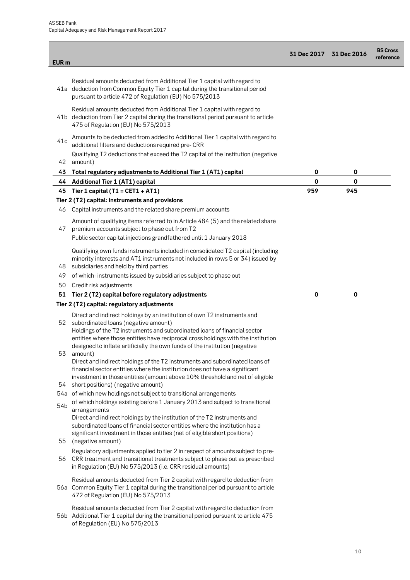| <b>EUR</b> m |                                                                                                                                                                                                                                                                                                                                                                              |     | 31 Dec 2017 31 Dec 2016 | <b>BS Cross</b><br>reference |
|--------------|------------------------------------------------------------------------------------------------------------------------------------------------------------------------------------------------------------------------------------------------------------------------------------------------------------------------------------------------------------------------------|-----|-------------------------|------------------------------|
|              |                                                                                                                                                                                                                                                                                                                                                                              |     |                         |                              |
|              | Residual amounts deducted from Additional Tier 1 capital with regard to<br>41a deduction from Common Equity Tier 1 capital during the transitional period<br>pursuant to article 472 of Regulation (EU) No 575/2013                                                                                                                                                          |     |                         |                              |
|              | Residual amounts deducted from Additional Tier 1 capital with regard to<br>41b deduction from Tier 2 capital during the transitional period pursuant to article<br>475 of Regulation (EU) No 575/2013                                                                                                                                                                        |     |                         |                              |
| 41c          | Amounts to be deducted from added to Additional Tier 1 capital with regard to<br>additional filters and deductions required pre- CRR                                                                                                                                                                                                                                         |     |                         |                              |
| 42           | Qualifying T2 deductions that exceed the T2 capital of the institution (negative<br>amount)                                                                                                                                                                                                                                                                                  |     |                         |                              |
| 43           | Total regulatory adjustments to Additional Tier 1 (AT1) capital                                                                                                                                                                                                                                                                                                              | 0   | 0                       |                              |
| 44           | <b>Additional Tier 1 (AT1) capital</b>                                                                                                                                                                                                                                                                                                                                       | 0   | $\mathbf 0$             |                              |
| 45           | Tier 1 capital (T1 = $CET1 + AT1$ )                                                                                                                                                                                                                                                                                                                                          | 959 | 945                     |                              |
|              | Tier 2 (T2) capital: instruments and provisions                                                                                                                                                                                                                                                                                                                              |     |                         |                              |
| 46           | Capital instruments and the related share premium accounts                                                                                                                                                                                                                                                                                                                   |     |                         |                              |
| 47           | Amount of qualifying items referred to in Article 484 (5) and the related share<br>premium accounts subject to phase out from T2                                                                                                                                                                                                                                             |     |                         |                              |
|              | Public sector capital injections grandfathered until 1 January 2018                                                                                                                                                                                                                                                                                                          |     |                         |                              |
| 48           | Qualifying own funds instruments included in consolidated T2 capital (including<br>minority interests and AT1 instruments not included in rows 5 or 34) issued by<br>subsidiaries and held by third parties                                                                                                                                                                  |     |                         |                              |
| 49           | of which: instruments issued by subsidiaries subject to phase out                                                                                                                                                                                                                                                                                                            |     |                         |                              |
| 50           | Credit risk adjustments                                                                                                                                                                                                                                                                                                                                                      |     |                         |                              |
| 51           | Tier 2 (T2) capital before regulatory adjustments                                                                                                                                                                                                                                                                                                                            | 0   | 0                       |                              |
|              | Tier 2 (T2) capital: regulatory adjustments                                                                                                                                                                                                                                                                                                                                  |     |                         |                              |
|              |                                                                                                                                                                                                                                                                                                                                                                              |     |                         |                              |
| 52<br>53     | Direct and indirect holdings by an institution of own T2 instruments and<br>subordinated loans (negative amount)<br>Holdings of the T2 instruments and subordinated loans of financial sector<br>entities where those entities have reciprocal cross holdings with the institution<br>designed to inflate artificially the own funds of the institution (negative<br>amount) |     |                         |                              |
| 54           | Direct and indirect holdings of the T2 instruments and subordinated loans of<br>financial sector entities where the institution does not have a significant<br>investment in those entities (amount above 10% threshold and net of eligible<br>short positions) (negative amount)                                                                                            |     |                         |                              |
|              | 54a of which new holdings not subject to transitional arrangements                                                                                                                                                                                                                                                                                                           |     |                         |                              |
| 54b          | of which holdings existing before 1 January 2013 and subject to transitional<br>arrangements                                                                                                                                                                                                                                                                                 |     |                         |                              |
|              | Direct and indirect holdings by the institution of the T2 instruments and<br>subordinated loans of financial sector entities where the institution has a<br>significant investment in those entities (net of eligible short positions)                                                                                                                                       |     |                         |                              |
| 55           | (negative amount)                                                                                                                                                                                                                                                                                                                                                            |     |                         |                              |
| 56           | Regulatory adjustments applied to tier 2 in respect of amounts subject to pre-<br>CRR treatment and transitional treatments subject to phase out as prescribed<br>in Regulation (EU) No 575/2013 (i.e. CRR residual amounts)                                                                                                                                                 |     |                         |                              |
|              | Residual amounts deducted from Tier 2 capital with regard to deduction from<br>56a Common Equity Tier 1 capital during the transitional period pursuant to article<br>472 of Regulation (EU) No 575/2013                                                                                                                                                                     |     |                         |                              |
|              | Residual amounts deducted from Tier 2 capital with regard to deduction from<br>56b Additional Tier 1 capital during the transitional period pursuant to article 475<br>of Regulation (EU) No 575/2013                                                                                                                                                                        |     |                         |                              |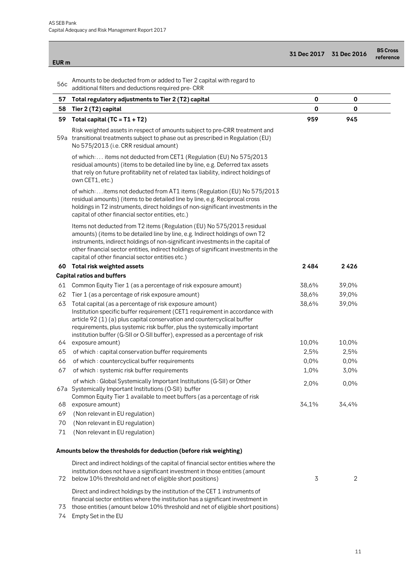**The Common** 

| EUR <sub>m</sub> |                                                                                                                                                                                                                                                                                                                                                                                                        | <b>31 Dec 2017</b> | 31 Dec 2016    | <b>BS Cross</b><br>reference |
|------------------|--------------------------------------------------------------------------------------------------------------------------------------------------------------------------------------------------------------------------------------------------------------------------------------------------------------------------------------------------------------------------------------------------------|--------------------|----------------|------------------------------|
| 56c              | Amounts to be deducted from or added to Tier 2 capital with regard to<br>additional filters and deductions required pre- CRR                                                                                                                                                                                                                                                                           |                    |                |                              |
| 57               | Total regulatory adjustments to Tier 2 (T2) capital                                                                                                                                                                                                                                                                                                                                                    | 0                  | 0              |                              |
| 58               | Tier 2 (T2) capital                                                                                                                                                                                                                                                                                                                                                                                    | 0                  | $\mathbf 0$    |                              |
| 59               | Total capital (TC = $T1 + T2$ )                                                                                                                                                                                                                                                                                                                                                                        | 959                | 945            |                              |
|                  | Risk weighted assets in respect of amounts subject to pre-CRR treatment and<br>59a transitional treatments subject to phase out as prescribed in Regulation (EU)<br>No 575/2013 (i.e. CRR residual amount)                                                                                                                                                                                             |                    |                |                              |
|                  | of which: items not deducted from CET1 (Regulation (EU) No 575/2013<br>residual amounts) (items to be detailed line by line, e.g. Deferred tax assets<br>that rely on future profitability net of related tax liability, indirect holdings of<br>own CET1, etc.)                                                                                                                                       |                    |                |                              |
|                  | of which:  items not deducted from AT1 items (Regulation (EU) No 575/2013<br>residual amounts) (items to be detailed line by line, e.g. Reciprocal cross<br>holdings in T2 instruments, direct holdings of non-significant investments in the<br>capital of other financial sector entities, etc.)                                                                                                     |                    |                |                              |
|                  | Items not deducted from T2 items (Regulation (EU) No 575/2013 residual<br>amounts) (items to be detailed line by line, e.g. Indirect holdings of own T2<br>instruments, indirect holdings of non-significant investments in the capital of<br>other financial sector entities, indirect holdings of significant investments in the<br>capital of other financial sector entities etc.)                 |                    |                |                              |
|                  | 60 Total risk weighted assets                                                                                                                                                                                                                                                                                                                                                                          | 2484               | 2426           |                              |
|                  | <b>Capital ratios and buffers</b>                                                                                                                                                                                                                                                                                                                                                                      |                    |                |                              |
| 61               | Common Equity Tier 1 (as a percentage of risk exposure amount)                                                                                                                                                                                                                                                                                                                                         | 38,6%              | 39,0%          |                              |
| 62               | Tier 1 (as a percentage of risk exposure amount)                                                                                                                                                                                                                                                                                                                                                       | 38,6%              | 39,0%          |                              |
| 63               | Total capital (as a percentage of risk exposure amount)<br>Institution specific buffer requirement (CET1 requirement in accordance with<br>article 92 (1) (a) plus capital conservation and countercyclical buffer<br>requirements, plus systemic risk buffer, plus the systemically important<br>institution buffer (G-SII or O-SII buffer), expressed as a percentage of risk<br>64 exposure amount) | 38,6%<br>10,0%     | 39,0%<br>10,0% |                              |
| 65               |                                                                                                                                                                                                                                                                                                                                                                                                        | 2,5%               | 2,5%           |                              |
| 66               | of which: capital conservation buffer requirements<br>of which: countercyclical buffer requirements                                                                                                                                                                                                                                                                                                    | 0,0%               | 0,0%           |                              |
| 67               | of which: systemic risk buffer requirements                                                                                                                                                                                                                                                                                                                                                            | 1,0%               | 3,0%           |                              |
|                  | of which: Global Systemically Important Institutions (G-SII) or Other<br>67a Systemically Important Institutions (O-SII) buffer                                                                                                                                                                                                                                                                        | 2,0%               | 0,0%           |                              |
| 68               | Common Equity Tier 1 available to meet buffers (as a percentage of risk<br>exposure amount)                                                                                                                                                                                                                                                                                                            | 34,1%              | 34,4%          |                              |
| 69               | (Non relevant in EU regulation)                                                                                                                                                                                                                                                                                                                                                                        |                    |                |                              |
| 70               | (Non relevant in EU regulation)                                                                                                                                                                                                                                                                                                                                                                        |                    |                |                              |
| 71               | (Non relevant in EU regulation)                                                                                                                                                                                                                                                                                                                                                                        |                    |                |                              |
|                  | Amounts below the thresholds for deduction (before risk weighting)                                                                                                                                                                                                                                                                                                                                     |                    |                |                              |
| 72               | Direct and indirect holdings of the capital of financial sector entities where the<br>institution does not have a significant investment in those entities (amount<br>below 10% threshold and net of eligible short positions)                                                                                                                                                                         | 3                  | $\overline{2}$ |                              |
|                  | Direct and indirect holdings by the institution of the CET 1 instruments of<br>financial sector entities where the institution has a significant investment in<br>الكمائلة مراجعة والرامع والمتحدد والمتكاكب والمتحل والمناطبة                                                                                                                                                                         |                    |                |                              |

73 those entities (amount below 10% threshold and net of eligible short positions)

74 Empty Set in the EU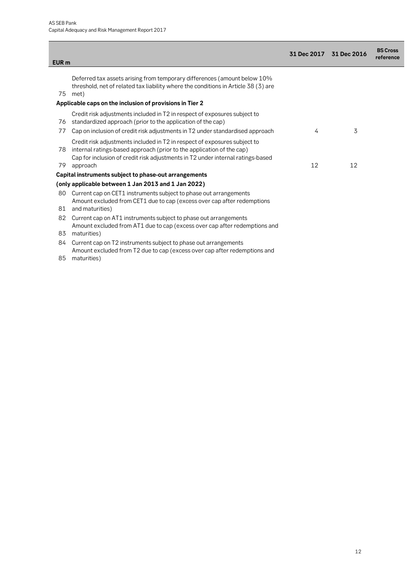|                  |                                                                                                                                                                                                                                                   | 31 Dec 2017 | 31 Dec 2016 | <b>BS Cross</b><br>reference |
|------------------|---------------------------------------------------------------------------------------------------------------------------------------------------------------------------------------------------------------------------------------------------|-------------|-------------|------------------------------|
| EUR <sub>m</sub> |                                                                                                                                                                                                                                                   |             |             |                              |
| 75               | Deferred tax assets arising from temporary differences (amount below 10%<br>threshold, net of related tax liability where the conditions in Article 38 (3) are<br>met)                                                                            |             |             |                              |
|                  | Applicable caps on the inclusion of provisions in Tier 2                                                                                                                                                                                          |             |             |                              |
| 76               | Credit risk adjustments included in T2 in respect of exposures subject to<br>standardized approach (prior to the application of the cap)                                                                                                          |             |             |                              |
| 77               | Cap on inclusion of credit risk adjustments in T2 under standardised approach                                                                                                                                                                     | 4           | 3           |                              |
| 78<br>79         | Credit risk adjustments included in T2 in respect of exposures subject to<br>internal ratings-based approach (prior to the application of the cap)<br>Cap for inclusion of credit risk adjustments in T2 under internal ratings-based<br>approach | 12          | 12          |                              |
|                  | Capital instruments subject to phase-out arrangements                                                                                                                                                                                             |             |             |                              |
|                  | (only applicable between 1 Jan 2013 and 1 Jan 2022)                                                                                                                                                                                               |             |             |                              |
| 80<br>81         | Current cap on CET1 instruments subject to phase out arrangements<br>Amount excluded from CET1 due to cap (excess over cap after redemptions<br>and maturities)                                                                                   |             |             |                              |
| 82               | Current cap on AT1 instruments subject to phase out arrangements                                                                                                                                                                                  |             |             |                              |
|                  | Amount excluded from AT1 due to cap (excess over cap after redemptions and                                                                                                                                                                        |             |             |                              |
| 83               | maturities)                                                                                                                                                                                                                                       |             |             |                              |
| 84               | Current cap on T2 instruments subject to phase out arrangements                                                                                                                                                                                   |             |             |                              |
|                  | Amount excluded from T2 due to cap (excess over cap after redemptions and<br>$\Omega E$ $\sim$ $\sim$ $+$ $\sim$ $\sim$ $\sim$ $\sim$                                                                                                             |             |             |                              |

85 maturities)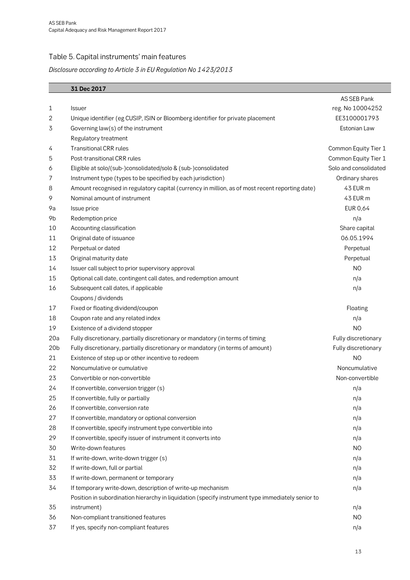## Table 5. Capital instruments' main features

### *Disclosure according to Article 3 in EU Regulation No 1423/2013*

|                 | 31 Dec 2017                                                                                       |                       |
|-----------------|---------------------------------------------------------------------------------------------------|-----------------------|
|                 |                                                                                                   | AS SEB Pank           |
| 1               | <b>Issuer</b>                                                                                     | reg. No 10004252      |
| 2               | Unique identifier (eg CUSIP, ISIN or Bloomberg identifier for private placement                   | EE3100001793          |
| 3               | Governing law(s) of the instrument                                                                | Estonian Law          |
|                 | Regulatory treatment                                                                              |                       |
| 4               | <b>Transitional CRR rules</b>                                                                     | Common Equity Tier 1  |
| 5               | Post-transitional CRR rules                                                                       | Common Equity Tier 1  |
| 6               | Eligible at solo/(sub-)consolidated/solo & (sub-)consolidated                                     | Solo and consolidated |
| 7               | Instrument type (types to be specified by each jurisdiction)                                      | Ordinary shares       |
| 8               | Amount recognised in regulatory capital (currency in million, as of most recent reporting date)   | 43 EUR m              |
| 9               | Nominal amount of instrument                                                                      | 43 EUR m              |
| 9a              | Issue price                                                                                       | EUR 0,64              |
| 9b              | Redemption price                                                                                  | n/a                   |
| 10              | Accounting classification                                                                         | Share capital         |
| 11              | Original date of issuance                                                                         | 06.05.1994            |
| 12              | Perpetual or dated                                                                                | Perpetual             |
| 13              | Original maturity date                                                                            | Perpetual             |
| 14              | Issuer call subject to prior supervisory approval                                                 | N <sub>O</sub>        |
| 15              | Optional call date, contingent call dates, and redemption amount                                  | n/a                   |
| 16              | Subsequent call dates, if applicable                                                              | n/a                   |
|                 | Coupons / dividends                                                                               |                       |
| 17              | Fixed or floating dividend/coupon                                                                 | Floating              |
| 18              | Coupon rate and any related index                                                                 | n/a                   |
| 19              | Existence of a dividend stopper                                                                   | N <sub>O</sub>        |
| 20a             | Fully discretionary, partially discretionary or mandatory (in terms of timing                     | Fully discretionary   |
| 20 <sub>b</sub> | Fully discretionary, partially discretionary or mandatory (in terms of amount)                    | Fully discretionary   |
| 21              | Existence of step up or other incentive to redeem                                                 | N <sub>O</sub>        |
| 22              | Noncumulative or cumulative                                                                       | Noncumulative         |
| 23              | Convertible or non-convertible                                                                    | Non-convertible       |
| 24              | If convertible, conversion trigger (s)                                                            | n/a                   |
| 25              | If convertible, fully or partially                                                                | n/a                   |
| 26              | If convertible, conversion rate                                                                   | n/a                   |
| 27              | If convertible, mandatory or optional conversion                                                  | n/a                   |
| 28              | If convertible, specify instrument type convertible into                                          | n/a                   |
| 29              | If convertible, specify issuer of instrument it converts into                                     | n/a                   |
| 30              | Write-down features                                                                               | N <sub>O</sub>        |
| 31              | If write-down, write-down trigger (s)                                                             | n/a                   |
| 32              | If write-down, full or partial                                                                    | n/a                   |
| 33              | If write-down, permanent or temporary                                                             | n/a                   |
| 34              | If temporary write-down, description of write-up mechanism                                        | n/a                   |
|                 | Position in subordination hierarchy in liquidation (specify instrument type immediately senior to |                       |
| 35              | instrument)                                                                                       | n/a                   |
| 36              | Non-compliant transitioned features                                                               | N <sub>O</sub>        |
| 37              | If yes, specify non-compliant features                                                            | n/a                   |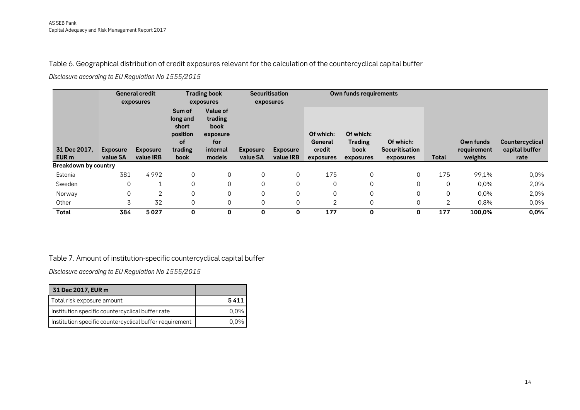Table 6. Geographical distribution of credit exposures relevant for the calculation of the countercyclical capital buffer

*Disclosure according to EU Regulation No 1555/2015* 

|                             |                 | <b>General credit</b> |                                               | <b>Trading book</b>                            |                 | <b>Securitisation</b> |                      | Own funds requirements      |                       |          |             |                 |
|-----------------------------|-----------------|-----------------------|-----------------------------------------------|------------------------------------------------|-----------------|-----------------------|----------------------|-----------------------------|-----------------------|----------|-------------|-----------------|
|                             |                 | exposures             |                                               | exposures                                      |                 | exposures             |                      |                             |                       |          |             |                 |
|                             |                 |                       | Sum of<br>long and<br>short<br>position<br>0f | Value of<br>trading<br>book<br>exposure<br>for |                 |                       | Of which:<br>General | Of which:<br><b>Trading</b> | Of which:             |          | Own funds   | Countercyclical |
| 31 Dec 2017,                | <b>Exposure</b> | <b>Exposure</b>       | trading                                       | internal                                       | <b>Exposure</b> | <b>Exposure</b>       | credit               | book                        | <b>Securitisation</b> |          | requirement | capital buffer  |
| EUR <sub>m</sub>            | value SA        | value IRB             | <b>book</b>                                   | models                                         | value SA        | value IRB             | exposures            | exposures                   | exposures             | Total    | weights     | rate            |
| <b>Breakdown by country</b> |                 |                       |                                               |                                                |                 |                       |                      |                             |                       |          |             |                 |
| Estonia                     | 381             | 4992                  | $\Omega$                                      | $\Omega$                                       |                 | $\Omega$              | 175                  | 0                           | 0                     | 175      | 99,1%       | 0,0%            |
| Sweden                      | $\Omega$        |                       | $\Omega$                                      | $\Omega$                                       |                 | $\Omega$              | $\Omega$             | 0                           | 0                     | $\Omega$ | 0,0%        | 2,0%            |
| Norway                      | 0               | 2                     | $\Omega$                                      | 0                                              |                 | 0                     | $\mathbf 0$          | 0                           | 0                     | 0        | 0,0%        | 2,0%            |
| Other                       | 3               | 32                    | $\Omega$                                      | $\Omega$                                       |                 | 0                     | 2                    | 0                           | 0                     | 2        | 0,8%        | 0,0%            |
| Total                       | 384             | 5027                  | $\mathbf 0$                                   | 0                                              | 0               | 0                     | 177                  | 0                           | 0                     | 177      | 100,0%      | 0,0%            |

#### Table 7. Amount of institution-specific countercyclical capital buffer

*Disclosure according to EU Regulation No 1555/2015* 

| 31 Dec 2017, EUR m                                      |         |
|---------------------------------------------------------|---------|
| Total risk exposure amount                              | 5411    |
| Institution specific countercyclical buffer rate        | $0.0\%$ |
| Institution specific countercyclical buffer requirement | (119/6) |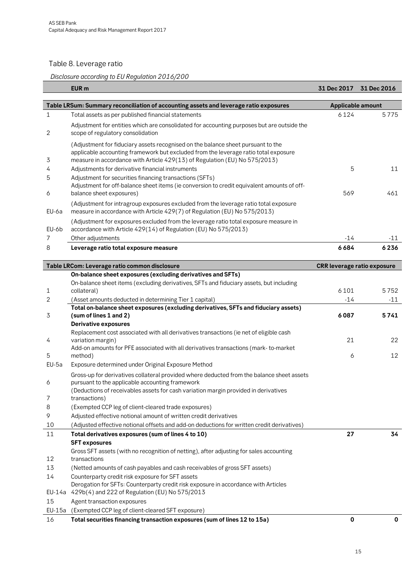### Table 8. Leverage ratio

### *Disclosure according to EU Regulation 2016/200*

|         | EUR <sub>m</sub>                                                                                                                                                                                                                                      | 31 Dec 2017 31 Dec 2016     |             |
|---------|-------------------------------------------------------------------------------------------------------------------------------------------------------------------------------------------------------------------------------------------------------|-----------------------------|-------------|
|         | Table LRSum: Summary reconciliation of accounting assets and leverage ratio exposures                                                                                                                                                                 | <b>Applicable amount</b>    |             |
| 1       | Total assets as per published financial statements                                                                                                                                                                                                    | 6124                        | 5775        |
| 2       | Adjustment for entities which are consolidated for accounting purposes but are outside the<br>scope of regulatory consolidation                                                                                                                       |                             |             |
| 3       | (Adjustment for fiduciary assets recognised on the balance sheet pursuant to the<br>applicable accounting framework but excluded from the leverage ratio total exposure<br>measure in accordance with Article 429(13) of Regulation (EU) No 575/2013) |                             |             |
| 4       | Adjustments for derivative financial instruments                                                                                                                                                                                                      | 5                           | 11          |
| 5       | Adjustment for securities financing transactions (SFTs)                                                                                                                                                                                               |                             |             |
| 6       | Adjustment for off-balance sheet items (ie conversion to credit equivalent amounts of off-<br>balance sheet exposures)                                                                                                                                | 569                         | 461         |
| EU-6a   | (Adjustment for intragroup exposures excluded from the leverage ratio total exposure<br>measure in accordance with Article 429(7) of Regulation (EU) No 575/2013)                                                                                     |                             |             |
| EU-6b   | (Adjustment for exposures excluded from the leverage ratio total exposure measure in<br>accordance with Article 429(14) of Regulation (EU) No 575/2013)                                                                                               |                             |             |
| 7       | Other adjustments                                                                                                                                                                                                                                     | -14                         | -11         |
| 8       | Leverage ratio total exposure measure                                                                                                                                                                                                                 | 6684                        | 6236        |
|         | Table LRCom: Leverage ratio common disclosure                                                                                                                                                                                                         | CRR leverage ratio exposure |             |
|         | On-balance sheet exposures (excluding derivatives and SFTs)                                                                                                                                                                                           |                             |             |
|         | On-balance sheet items (excluding derivatives, SFTs and fiduciary assets, but including                                                                                                                                                               |                             |             |
| 1       | collateral)                                                                                                                                                                                                                                           | 6101                        | 5752        |
| 2       | (Asset amounts deducted in determining Tier 1 capital)                                                                                                                                                                                                | $-14$                       | $-11$       |
| 3       | Total on-balance sheet exposures (excluding derivatives, SFTs and fiduciary assets)<br>(sum of lines 1 and 2)                                                                                                                                         | 6087                        | 5741        |
|         | <b>Derivative exposures</b><br>Replacement cost associated with all derivatives transactions (ie net of eligible cash                                                                                                                                 |                             |             |
| 4       | variation margin)                                                                                                                                                                                                                                     | 21                          | 22          |
|         | Add-on amounts for PFE associated with all derivatives transactions (mark-to-market                                                                                                                                                                   |                             |             |
| 5       | method)                                                                                                                                                                                                                                               | 6                           | 12          |
| $EU-5a$ | Exposure determined under Original Exposure Method                                                                                                                                                                                                    |                             |             |
|         | Gross-up for derivatives collateral provided where deducted from the balance sheet assets                                                                                                                                                             |                             |             |
| 6       | pursuant to the applicable accounting framework<br>(Deductions of receivables assets for cash variation margin provided in derivatives                                                                                                                |                             |             |
| 7       | transactions)                                                                                                                                                                                                                                         |                             |             |
| 8       | (Exempted CCP leg of client-cleared trade exposures)                                                                                                                                                                                                  |                             |             |
| 9       | Adjusted effective notional amount of written credit derivatives                                                                                                                                                                                      |                             |             |
| 10      | (Adjusted effective notional offsets and add-on deductions for written credit derivatives)                                                                                                                                                            |                             |             |
| 11      | Total derivatives exposures (sum of lines 4 to 10)                                                                                                                                                                                                    | 27                          | 34          |
|         | <b>SFT exposures</b>                                                                                                                                                                                                                                  |                             |             |
| 12      | Gross SFT assets (with no recognition of netting), after adjusting for sales accounting<br>transactions                                                                                                                                               |                             |             |
| 13      | (Netted amounts of cash payables and cash receivables of gross SFT assets)                                                                                                                                                                            |                             |             |
| 14      | Counterparty credit risk exposure for SFT assets                                                                                                                                                                                                      |                             |             |
|         | Derogation for SFTs: Counterparty credit risk exposure in accordance with Articles                                                                                                                                                                    |                             |             |
|         | EU-14a 429b(4) and 222 of Regulation (EU) No 575/2013                                                                                                                                                                                                 |                             |             |
| 15      | Agent transaction exposures                                                                                                                                                                                                                           |                             |             |
| EU-15a  | (Exempted CCP leg of client-cleared SFT exposure)                                                                                                                                                                                                     |                             |             |
| 16      | Total securities financing transaction exposures (sum of lines 12 to 15a)                                                                                                                                                                             | 0                           | $\mathbf 0$ |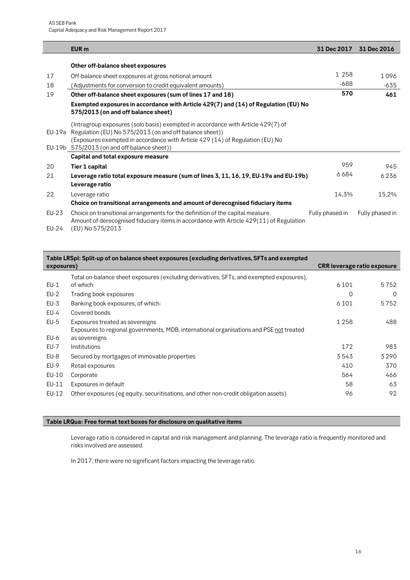|        | EUR <sub>m</sub>                                                                                                                                                                                                                                                            | 31 Dec 2017     | 31 Dec 2016     |
|--------|-----------------------------------------------------------------------------------------------------------------------------------------------------------------------------------------------------------------------------------------------------------------------------|-----------------|-----------------|
|        | Other off-balance sheet exposures                                                                                                                                                                                                                                           |                 |                 |
| 17     | Off-balance sheet exposures at gross notional amount                                                                                                                                                                                                                        | 1 2 5 8         | 1096            |
| 18     | (Adjustments for conversion to credit equivalent amounts)                                                                                                                                                                                                                   | -688            | -635            |
| 19     | Other off-balance sheet exposures (sum of lines 17 and 18)                                                                                                                                                                                                                  | 570             | 461             |
|        | Exempted exposures in accordance with Article 429(7) and (14) of Regulation (EU) No<br>575/2013 (on and off balance sheet)                                                                                                                                                  |                 |                 |
| EU-19a | (Intragroup exposures (solo basis) exempted in accordance with Article 429(7) of<br>Regulation (EU) No 575/2013 (on and off balance sheet))<br>(Exposures exempted in accordance with Article 429 (14) of Regulation (EU) No<br>EU-19b 575/2013 (on and off balance sheet)) |                 |                 |
|        | Capital and total exposure measure                                                                                                                                                                                                                                          |                 |                 |
| 20     | Tier 1 capital                                                                                                                                                                                                                                                              | 959             | 945             |
| 21     | Leverage ratio total exposure measure (sum of lines 3, 11, 16, 19, EU-19a and EU-19b)                                                                                                                                                                                       | 6684            | 6236            |
|        | Leverage ratio                                                                                                                                                                                                                                                              |                 |                 |
| 22     | Leverage ratio                                                                                                                                                                                                                                                              | 14,3%           | 15,2%           |
|        | Choice on transitional arrangements and amount of derecognised fiduciary items                                                                                                                                                                                              |                 |                 |
| EU-23  | Choice on transitional arrangements for the definition of the capital measure<br>Amount of derecognised fiduciary items in accordance with Article 429(11) of Regulation                                                                                                    | Fully phased in | Fully phased in |
| EU-24  | (EU) No 575/2013                                                                                                                                                                                                                                                            |                 |                 |

| exposures)  | Table LRSpl: Split-up of on balance sheet exposures (excluding derivatives, SFTs and exempted | <b>CRR</b> leverage ratio exposure |          |
|-------------|-----------------------------------------------------------------------------------------------|------------------------------------|----------|
|             | Total on-balance sheet exposures (excluding derivatives, SFTs, and exempted exposures),       |                                    |          |
| EU-1        | of which:                                                                                     | 6 1 0 1                            | 5752     |
| $EU-2$      | Trading book exposures                                                                        | 0                                  | $\Omega$ |
| EU-3        | Banking book exposures, of which:                                                             | 6 1 0 1                            | 5752     |
| EU-4        | Covered bonds                                                                                 |                                    |          |
| $EU-5$      | Exposures treated as sovereigns                                                               | 1 2 5 8                            | 488      |
|             | Exposures to regional governments, MDB, international organisations and PSE not treated       |                                    |          |
| EU-6        | as sovereigns                                                                                 |                                    |          |
| <b>EU-7</b> | Institutions                                                                                  | 172                                | 983      |
| EU-8        | Secured by mortgages of immovable properties                                                  | 3543                               | 3290     |
| EU-9        | Retail exposures                                                                              | 410                                | 370      |
| EU-10       | Corporate                                                                                     | 564                                | 466      |
| EU-11       | Exposures in default                                                                          | 58                                 | 63       |
| EU-12       | Other exposures (eg equity, securitisations, and other non-credit obligation assets)          | 96                                 | 92       |
|             |                                                                                               |                                    |          |

#### **Table LRQua: Free format text boxes for disclosure on qualitative items**

Leverage ratio is considered in capital and risk management and planning. The leverage ratio is frequently monitored and risks involved are assessed.

In 2017, there were no significant factors impacting the leverage ratio.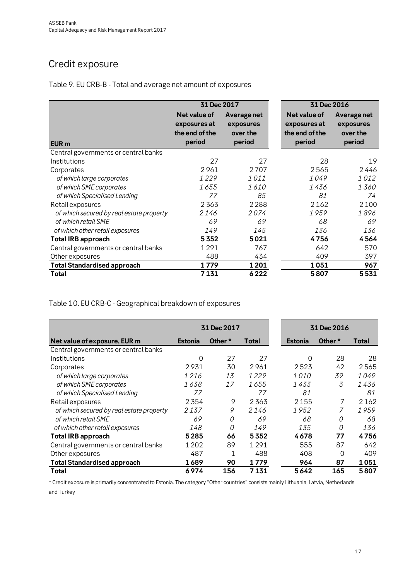## Credit exposure

|                                          | 31 Dec 2017                                              |                                                | 31 Dec 2016                                              |                                                |
|------------------------------------------|----------------------------------------------------------|------------------------------------------------|----------------------------------------------------------|------------------------------------------------|
| EUR <sub>m</sub>                         | Net value of<br>exposures at<br>the end of the<br>period | Average net<br>exposures<br>over the<br>period | Net value of<br>exposures at<br>the end of the<br>period | Average net<br>exposures<br>over the<br>period |
| Central governments or central banks     |                                                          |                                                |                                                          |                                                |
| Institutions                             | 27                                                       | 27                                             | 28                                                       | 19                                             |
| Corporates                               | 2961                                                     | 2707                                           | 2565                                                     | 2446                                           |
| of which large corporates                | 1229                                                     | 1011                                           | 1049                                                     | 1012                                           |
| of which SME corporates                  | 1655                                                     | 1610                                           | 1 436                                                    | 1360                                           |
| of which Specialised Lending             | 77                                                       | 85                                             | 81                                                       | 74                                             |
| Retail exposures                         | 2363                                                     | 2 2 8 8                                        | 2162                                                     | 2 1 0 0                                        |
| of which secured by real estate property | 2146                                                     | 2074                                           | 1959                                                     | 1896                                           |
| of which retail SME                      | 69                                                       | 69                                             | 68                                                       | 69                                             |
| of which other retail exposures          | 149                                                      | 145                                            | 136                                                      | 136                                            |
| <b>Total IRB approach</b>                | 5352                                                     | 5021                                           | 4756                                                     | 4564                                           |
| Central governments or central banks     | 1291                                                     | 767                                            | 642                                                      | 570                                            |
| Other exposures                          | 488                                                      | 434                                            | 409                                                      | 397                                            |
| <b>Total Standardised approach</b>       | 1779                                                     | 1201                                           | 1051                                                     | 967                                            |
| <b>Total</b>                             | 7131                                                     | 6222                                           | 5807                                                     | 5531                                           |

Table 9. EU CRB-B - Total and average net amount of exposures

Table 10. EU CRB-C - Geographical breakdown of exposures

|                                          |                | 31 Dec 2017 |         |                | 31 Dec 2016 |                |       |  |
|------------------------------------------|----------------|-------------|---------|----------------|-------------|----------------|-------|--|
| Net value of exposure, EUR m             | <b>Estonia</b> | Other *     | Total   | <b>Estonia</b> |             | Other *        | Total |  |
| Central governments or central banks     |                |             |         |                |             |                |       |  |
| Institutions                             | 0              | 27          | 27      |                | 0           | 28             | 28    |  |
| Corporates                               | 2931           | 30          | 2961    | 2523           |             | 42             | 2565  |  |
| of which large corporates                | 1216           | 13          | 1229    | <i>1010</i>    |             | 39             | 1049  |  |
| of which SME corporates                  | 1638           | 17          | 1655    | 1 433          |             | $\overline{3}$ | 1436  |  |
| of which Specialised Lending             | 77             |             | 77      |                | 81          |                | 81    |  |
| Retail exposures                         | 2354           | 9           | 2363    | 2155           |             | 7              | 2162  |  |
| of which secured by real estate property | 2137           | 9           | 2146    | 1952           |             | 7              | 1959  |  |
| of which retail SME                      | 69             | 0           | 69      |                | 68          | 0              | 68    |  |
| of which other retail exposures          | 148            | 0           | 149     |                | 135         | 0              | 136   |  |
| <b>Total IRB approach</b>                | 5285           | 66          | 5352    | 4678           |             | 77             | 4756  |  |
| Central governments or central banks     | 1 2 0 2        | 89          | 1291    |                | 555         | 87             | 642   |  |
| Other exposures                          | 487            | 1           | 488     |                | 408         | $\Omega$       | 409   |  |
| <b>Total Standardised approach</b>       | 1689           | 90          | 1779    |                | 964         | 87             | 1051  |  |
| Total                                    | 6974           | 156         | 7 1 3 1 | 5642           |             | 165            | 5807  |  |

\* Credit exposure is primarily concentrated to Estonia. The category "Other countries" consists mainly Lithuania, Latvia, Netherlands and Turkey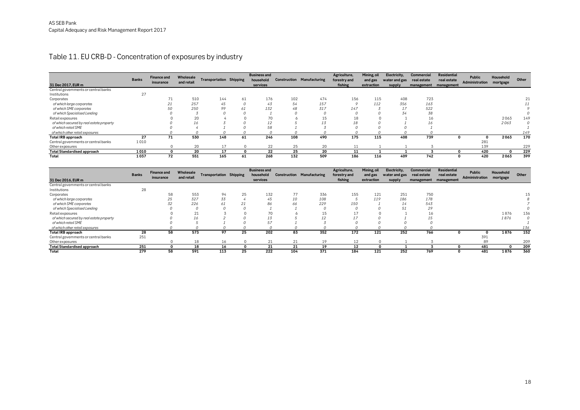#### Table 11. EU CRB-D - Concentration of exposures by industry

|                                          | <b>Banks</b> | <b>Finance and</b><br>insurance | Wholesale<br>and retail | <b>Transportation Shipping</b> |          | <b>Business and</b><br>household |     | <b>Construction Manufacturing</b> | Agriculture,<br>forestry and | Mining, oil<br>and gas | Electricity,<br>water and gas | <b>Commercial</b><br>real estate | <b>Residential</b><br>real estate | Public<br>Administration | Household<br>mortgage | Other    |
|------------------------------------------|--------------|---------------------------------|-------------------------|--------------------------------|----------|----------------------------------|-----|-----------------------------------|------------------------------|------------------------|-------------------------------|----------------------------------|-----------------------------------|--------------------------|-----------------------|----------|
| 31 Dec 2017, EUR m                       |              |                                 |                         |                                |          | services                         |     |                                   | fishing                      | extraction             | supply                        | management                       | management                        |                          |                       |          |
| Central governments or central banks     |              |                                 |                         |                                |          |                                  |     |                                   |                              |                        |                               |                                  |                                   |                          |                       |          |
| Institutions                             | 27           |                                 |                         |                                |          |                                  |     |                                   |                              |                        |                               |                                  |                                   |                          |                       |          |
| Corporates                               |              | 71                              | 510                     | 144                            | 61       | 176                              | 102 | 474                               | 156                          | 115                    | 408                           | 723                              |                                   |                          |                       | 21       |
| of which large corporates                |              | 21                              | 257                     | 45                             | 0        | 43                               | 54  | 157                               |                              | 112                    | 356                           | 163                              |                                   |                          |                       |          |
| of which SME corporates                  |              | 50                              | 250                     | 99                             | 61       | 132                              | 48  | 317                               | 147                          |                        |                               | 522                              |                                   |                          |                       |          |
| of which Specialised Lending             |              |                                 |                         |                                |          |                                  |     |                                   |                              |                        | 34                            | 38                               |                                   |                          |                       |          |
| Retail exposures                         |              |                                 | 20                      |                                |          | 70                               |     | 15                                | 18                           |                        |                               | 16                               |                                   |                          | 2063                  | 149      |
| of which secured by real estate property |              |                                 | 16                      |                                |          | 12                               |     | 13                                |                              |                        |                               | 16                               |                                   |                          | 2063                  | $\Omega$ |
| of which retail SME                      |              |                                 |                         |                                |          | 58                               |     |                                   |                              |                        |                               |                                  |                                   |                          |                       |          |
| of which other retail exposures          |              |                                 |                         |                                | $\Omega$ | $\Omega$                         |     |                                   |                              |                        |                               |                                  |                                   |                          |                       | 149      |
| <b>Total IRB approach</b>                | 27           | 71                              | 530                     | 148                            | 61       | 246                              | 108 | 490                               | 175                          | 115                    | 408                           | 739                              | O                                 |                          | 2063                  | 170      |
| Central governments or central banks     | 1010         |                                 |                         |                                |          |                                  |     |                                   |                              |                        |                               |                                  |                                   | 281                      |                       |          |
| Other exposures                          |              |                                 | 20                      |                                | $\Omega$ | 22                               | 25  | 20                                |                              |                        |                               |                                  |                                   | 139                      |                       | 229      |
| <b>Total Standardised approach</b>       | 1010         |                                 | 20                      | 17                             | 0        | 22                               | 25  | 20                                | 11                           |                        |                               |                                  |                                   | 420                      | $\Omega$              | 229      |
| Total                                    | 1037         | 72                              | 551                     | 165                            | 61       | 268                              | 132 | 509                               | 186                          | 116                    | 409                           | 742                              | O                                 | 420                      | 2063                  | 399      |

|                                          |              | <b>Finance and</b> | Wholesale  |                                |    | <b>Business and</b> |     |                                   | Agriculture, | Mining, oil | Electricity,  | <b>Commercial</b> | <b>Residential</b> | Public         | Household |       |
|------------------------------------------|--------------|--------------------|------------|--------------------------------|----|---------------------|-----|-----------------------------------|--------------|-------------|---------------|-------------------|--------------------|----------------|-----------|-------|
|                                          | <b>Banks</b> | insurance          | and retail | <b>Transportation Shipping</b> |    | household           |     | <b>Construction Manufacturing</b> | forestry and | and gas     | water and gas | real estate       | real estate        | Administration | mortgage  | Other |
| 31 Dec 2016. EUR m                       |              |                    |            |                                |    | services            |     |                                   | fishing      | extraction  | supply        | management        | management         |                |           |       |
| Central governments or central banks     |              |                    |            |                                |    |                     |     |                                   |              |             |               |                   |                    |                |           |       |
| Institutions                             | 28           |                    |            |                                |    |                     |     |                                   |              |             |               |                   |                    |                |           |       |
| Corporates                               |              | 58                 | 553        | 94                             | 25 | 132                 | 77  | 336                               | 155          | 121         | 251           | 750               |                    |                |           |       |
| of which large corporates                |              | 25                 | 327        | 33                             |    | 45                  | 10  | 108                               |              | 119         | 186           | 178               |                    |                |           |       |
| of which SME corporates                  |              | 32                 | 226        | 61                             | 21 | 86                  | 66  | 229                               | 150          |             | 14            | 543               |                    |                |           |       |
| of which Specialised Lending             |              |                    |            |                                |    |                     |     |                                   |              |             |               | 29                |                    |                |           |       |
| Retail exposures                         |              |                    | 01<br>41   |                                |    | 70                  |     | 15                                |              |             |               | 16                |                    |                | 1876      | 136   |
| of which secured by real estate property |              |                    | 16         |                                |    | 13                  |     | 12                                |              |             |               |                   |                    |                | 1876      | 0     |
| of which retail SME                      |              |                    |            |                                |    | 57                  |     |                                   |              |             |               |                   |                    |                |           |       |
| of which other retail exposures          |              |                    |            |                                |    |                     |     |                                   |              |             |               |                   |                    |                |           | 136   |
| <b>Total IRB approach</b>                | 28           | 58                 | 573        | 97                             | 25 | 202                 | 83  | 352                               | 172          | 121         | 252           | 766               |                    |                | 1876      | 152   |
| Central governments or central banks     | 251          |                    |            |                                |    |                     |     |                                   |              |             |               |                   |                    | 391            |           |       |
| Other exposures                          |              |                    | 18         | 16                             |    | 21                  | 21  | 19                                | 12           | $\Omega$    |               |                   |                    | 89             |           | 209   |
| <b>Total Standardised approach</b>       | 251          |                    | 18         | 16                             |    | 21                  | 21  | 19                                | 12           |             |               |                   |                    | 481            | O         | 209   |
| Total                                    | 279          | 58                 | 591        | 113                            | 25 | 222                 | 104 | 371                               | 184          | 121         | 252           | 769               |                    | 481            | 1876      | 360   |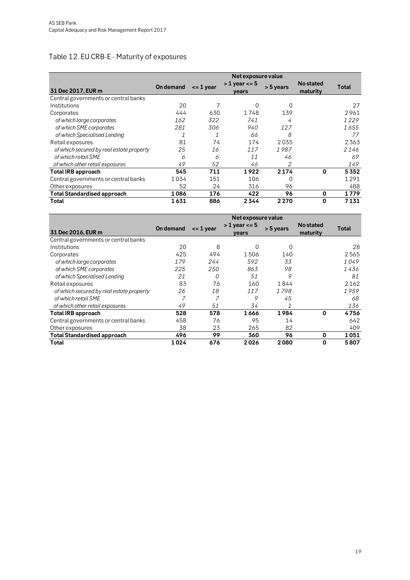## Table 12. EU CRB-E - Maturity of exposures

|                                          | Net exposure value |               |                              |           |                              |       |  |  |  |
|------------------------------------------|--------------------|---------------|------------------------------|-----------|------------------------------|-------|--|--|--|
| 31 Dec 2017, EUR m                       | <b>On demand</b>   | $\leq$ 1 year | $>1$ year $\lt$ = 5<br>vears | > 5 years | <b>No stated</b><br>maturity | Total |  |  |  |
| Central governments or central banks     |                    |               |                              |           |                              |       |  |  |  |
| Institutions                             | 20                 | 7             | 0                            | 0         |                              | 27    |  |  |  |
| Corporates                               | 444                | 630           | 1748                         | 139       |                              | 2961  |  |  |  |
| of which large corporates                | 162                | 322           | 741                          | 4         |                              | 1229  |  |  |  |
| of which SME corporates                  | 281                | 306           | 940                          | 127       |                              | 1655  |  |  |  |
| of which Specialised Lending             | 1                  | 1             | 66                           | 8         |                              | 77    |  |  |  |
| Retail exposures                         | 81                 | 74            | 174                          | 2035      |                              | 2363  |  |  |  |
| of which secured by real estate property | 25                 | 16            | 117                          | 1987      |                              | 2146  |  |  |  |
| of which retail SME                      | 6                  | 6             | 11                           | 46        |                              | 69    |  |  |  |
| of which other retail exposures          | 49                 | 52            | 46                           |           |                              | 149   |  |  |  |
| <b>Total IRB approach</b>                | 545                | 711           | 1922                         | 2174      | $\mathbf{0}$                 | 5352  |  |  |  |
| Central governments or central banks     | 1034               | 151           | 106                          | $\Omega$  |                              | 1291  |  |  |  |
| Other exposures                          | 52                 | 24            | 316                          | 96        |                              | 488   |  |  |  |
| <b>Total Standardised approach</b>       | 1086               | 176           | 422                          | 96        | 0                            | 1779  |  |  |  |
| Total                                    | 1631               | 886           | 2344                         | 2270      | $\bf{0}$                     | 7131  |  |  |  |

|                                          | Net exposure value |               |                          |           |                              |       |  |  |  |
|------------------------------------------|--------------------|---------------|--------------------------|-----------|------------------------------|-------|--|--|--|
| 31 Dec 2016, EUR m                       | <b>On demand</b>   | $\leq$ 1 year | $>1$ year $<=5$<br>vears | > 5 years | <b>No stated</b><br>maturity | Total |  |  |  |
| Central governments or central banks     |                    |               |                          |           |                              |       |  |  |  |
| Institutions                             | 20                 | 8             | <sup>0</sup>             | 0         |                              | 28    |  |  |  |
| Corporates                               | 425                | 494           | 1506                     | 140       |                              | 2565  |  |  |  |
| of which large corporates                | 179                | 244           | 592                      | 33        |                              | 1049  |  |  |  |
| of which SME corporates                  | 225                | 250           | 863                      | 98        |                              | 1 436 |  |  |  |
| of which Specialised Lending             | 21                 | 0             | 51                       | 9         |                              | 81    |  |  |  |
| Retail exposures                         | 83                 | 76            | 160                      | 1844      |                              | 2162  |  |  |  |
| of which secured by real estate property | 26                 | 18            | 117                      | 1798      |                              | 1959  |  |  |  |
| of which retail SME                      | 7                  | 7             | 9                        | 45        |                              | 68    |  |  |  |
| of which other retail exposures          | 49                 | 51            | 34                       |           |                              | 136   |  |  |  |
| <b>Total IRB approach</b>                | 528                | 578           | 1666                     | 1984      | $\mathbf 0$                  | 4756  |  |  |  |
| Central governments or central banks     | 458                | 76            | 95                       | 14        |                              | 642   |  |  |  |
| Other exposures                          | 38                 | 23            | 265                      | 82        |                              | 409   |  |  |  |
| <b>Total Standardised approach</b>       | 496                | 99            | 360                      | 96        | 0                            | 1051  |  |  |  |
| Total                                    | 1024               | 676           | 2026                     | 2080      | $\mathbf{0}$                 | 5807  |  |  |  |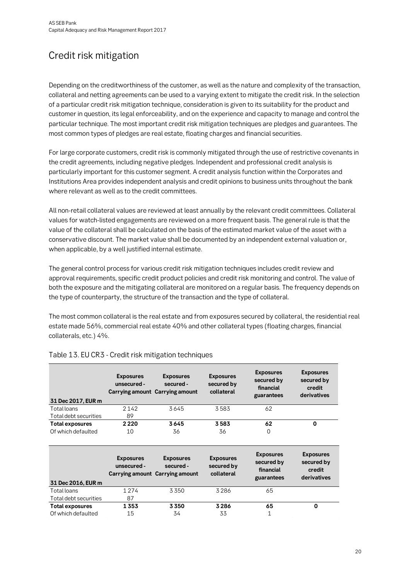# Credit risk mitigation

Depending on the creditworthiness of the customer, as well as the nature and complexity of the transaction, collateral and netting agreements can be used to a varying extent to mitigate the credit risk. In the selection of a particular credit risk mitigation technique, consideration is given to its suitability for the product and customer in question, its legal enforceability, and on the experience and capacity to manage and control the particular technique. The most important credit risk mitigation techniques are pledges and guarantees. The most common types of pledges are real estate, floating charges and financial securities.

For large corporate customers, credit risk is commonly mitigated through the use of restrictive covenants in the credit agreements, including negative pledges. Independent and professional credit analysis is particularly important for this customer segment. A credit analysis function within the Corporates and Institutions Area provides independent analysis and credit opinions to business units throughout the bank where relevant as well as to the credit committees.

All non-retail collateral values are reviewed at least annually by the relevant credit committees. Collateral values for watch-listed engagements are reviewed on a more frequent basis. The general rule is that the value of the collateral shall be calculated on the basis of the estimated market value of the asset with a conservative discount. The market value shall be documented by an independent external valuation or, when applicable, by a well justified internal estimate.

The general control process for various credit risk mitigation techniques includes credit review and approval requirements, specific credit product policies and credit risk monitoring and control. The value of both the exposure and the mitigating collateral are monitored on a regular basis. The frequency depends on the type of counterparty, the structure of the transaction and the type of collateral.

The most common collateral is the real estate and from exposures secured by collateral, the residential real estate made 56%, commercial real estate 40% and other collateral types (floating charges, financial collaterals, etc.) 4%.

| 31 Dec 2017, EUR m     | <b>Exposures</b><br>unsecured - | <b>Exposures</b><br>secured -<br>Carrying amount Carrying amount | <b>Exposures</b><br>secured by<br>collateral | <b>Exposures</b><br>secured by<br>financial<br>guarantees | <b>Exposures</b><br>secured by<br>credit<br>derivatives |
|------------------------|---------------------------------|------------------------------------------------------------------|----------------------------------------------|-----------------------------------------------------------|---------------------------------------------------------|
| Total loans            | 2142                            | 3645                                                             | 3583                                         | 62                                                        |                                                         |
| Total debt securities  | 89                              |                                                                  |                                              |                                                           |                                                         |
| Total exposures        | 2220                            | 3645                                                             | 3583                                         | 62                                                        | $\Omega$                                                |
| Of which defaulted     | 10                              | 36                                                               | 36                                           | $\Omega$                                                  |                                                         |
|                        | <b>Exposures</b><br>unsecured - | <b>Exposures</b><br>secured -<br>Carrying amount Carrying amount | <b>Exposures</b><br>secured by<br>collateral | <b>Exposures</b><br>secured by<br>financial<br>guarantees | <b>Exposures</b><br>secured by<br>credit<br>derivatives |
| 31 Dec 2016, EUR m     |                                 |                                                                  |                                              |                                                           |                                                         |
| Total loans            | 1 2 7 4                         | 3350                                                             | 3286                                         | 65                                                        |                                                         |
| Total debt securities  | 87                              |                                                                  |                                              |                                                           |                                                         |
| <b>Total exposures</b> | 1353                            | 3350                                                             | 3286                                         | 65                                                        | 0                                                       |

Of which defaulted  $15$  34 33 1

#### Table 13. EU CR3 - Credit risk mitigation techniques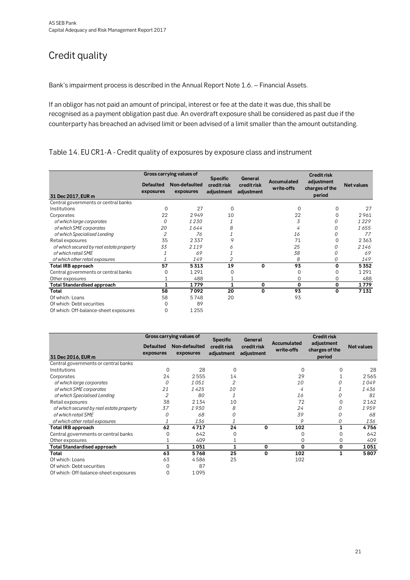# Credit quality

Bank's impairment process is described in the Annual Report Note 1.6. – Financial Assets.

If an obligor has not paid an amount of principal, interest or fee at the date it was due, this shall be recognised as a payment obligation past due. An overdraft exposure shall be considered as past due if the counterparty has breached an advised limit or been advised of a limit smaller than the amount outstanding.

#### Table 14. EU CR1-A - Credit quality of exposures by exposure class and instrument

|                                          |                               | Gross carrying values of   | <b>Specific</b>           | General                   |                                  | <b>Credit risk</b>                     |                   |
|------------------------------------------|-------------------------------|----------------------------|---------------------------|---------------------------|----------------------------------|----------------------------------------|-------------------|
| 31 Dec 2017, EUR m                       | <b>Defaulted</b><br>exposures | Non-defaulted<br>exposures | credit risk<br>adjustment | credit risk<br>adjustment | <b>Accumulated</b><br>write-offs | adjustment<br>charges of the<br>period | <b>Net values</b> |
| Central governments or central banks     |                               |                            |                           |                           |                                  |                                        |                   |
| Institutions                             | $\Omega$                      | 27                         | $\Omega$                  |                           | $\Omega$                         | $\Omega$                               | 27                |
| Corporates                               | 22                            | 2949                       | 10                        |                           | 22                               | $\Omega$                               | 2961              |
| of which large corporates                | 0                             | 1230                       |                           |                           | 3                                | 0                                      | 1229              |
| of which SME corporates                  | 20                            | 1644                       | 8                         |                           | 4                                | 0                                      | 1655              |
| of which Specialised Lending             | 2                             | 76                         |                           |                           | 16                               | 0                                      | 77                |
| Retail exposures                         | 35                            | 2337                       | 9                         |                           | 71                               | $\Omega$                               | 2363              |
| of which secured by real estate property | 33                            | 2119                       | ∩                         |                           | 25                               | 0                                      | 2146              |
| of which retail SME                      |                               | 69                         |                           |                           | 38                               | 0                                      | 69                |
| of which other retail exposures          |                               | 149                        | 2                         |                           | 8                                | 0                                      | 149               |
| <b>Total IRB approach</b>                | 57                            | 5313                       | 19                        | 0                         | 93                               | $\mathbf 0$                            | 5352              |
| Central governments or central banks     |                               | 1291                       | 0                         |                           |                                  | $\Omega$                               | 1291              |
| Other exposures                          |                               | 488                        |                           |                           | 0                                | $\mathbf 0$                            | 488               |
| <b>Total Standardised approach</b>       |                               | 1779                       | 1                         | 0                         | 0                                | 0                                      | 1779              |
| Total                                    | 58                            | 7092                       | 20                        | $\Omega$                  | 93                               | 0                                      | 7131              |
| Of which: Loans                          | 58                            | 5748                       | 20                        |                           | 93                               |                                        |                   |
| Of which: Debt securities                |                               | 89                         |                           |                           |                                  |                                        |                   |
| Of which: Off-balance-sheet exposures    | 0                             | 1255                       |                           |                           |                                  |                                        |                   |

|                                          |                               | Gross carrying values of   | <b>Specific</b>           | General                   |                           | <b>Credit risk</b>           |                   |
|------------------------------------------|-------------------------------|----------------------------|---------------------------|---------------------------|---------------------------|------------------------------|-------------------|
|                                          | <b>Defaulted</b><br>exposures | Non-defaulted<br>exposures | credit risk<br>adjustment | credit risk<br>adjustment | Accumulated<br>write-offs | adjustment<br>charges of the | <b>Net values</b> |
| 31 Dec 2016, EUR m                       |                               |                            |                           |                           |                           | period                       |                   |
| Central governments or central banks     |                               |                            |                           |                           |                           |                              |                   |
| Institutions                             | 0                             | 28                         | $\mathbf 0$               |                           | $\Omega$                  |                              | 28                |
| Corporates                               | 24                            | 2555                       | 14                        |                           | 29                        |                              | 2565              |
| of which large corporates                |                               | 1051                       | 2                         |                           | 10                        | 0                            | 1049              |
| of which SME corporates                  | 21                            | 1425                       | 10                        |                           | 4                         |                              | 1436              |
| of which Specialised Lending             | $\overline{2}$                | 80                         |                           |                           | 16                        | 0                            | 81                |
| Retail exposures                         | 38                            | 2134                       | 10                        |                           | 72                        | $\Omega$                     | 2162              |
| of which secured by real estate property | 37                            | 1930                       | 8                         |                           | 24                        | 0                            | 1959              |
| of which retail SME                      |                               | 68                         |                           |                           | 39                        | 0                            | 68                |
| of which other retail exposures          |                               | 136                        |                           |                           | 9                         | 0                            | 136               |
| <b>Total IRB approach</b>                | 62                            | 4717                       | 24                        | 0                         | 102                       | 1                            | 4756              |
| Central governments or central banks     |                               | 642                        | 0                         |                           |                           | 0                            | 642               |
| Other exposures                          |                               | 409                        |                           |                           | 0                         | 0                            | 409               |
| Total Standardised approach              |                               | 1051                       | 1                         | 0                         | $\Omega$                  | 0                            | 1051              |
| Total                                    | 63                            | 5768                       | 25                        | 0                         | 102                       | 1                            | 5807              |
| Of which: Loans                          | 63                            | 4586                       | 25                        |                           | 102                       |                              |                   |
| Of which: Debt securities                |                               | 87                         |                           |                           |                           |                              |                   |
| Of which: Off-balance-sheet exposures    | 0                             | 1095                       |                           |                           |                           |                              |                   |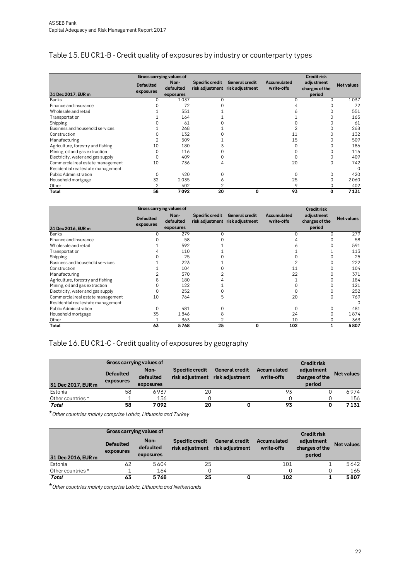## Table 15. EU CR1-B - Credit quality of exposures by industry or counterparty types

|                                    |                               | Gross carrying values of |                        |                                                          |                           | <b>Credit risk</b>           |                   |
|------------------------------------|-------------------------------|--------------------------|------------------------|----------------------------------------------------------|---------------------------|------------------------------|-------------------|
|                                    | <b>Defaulted</b><br>exposures | Non-<br>defaulted        | <b>Specific credit</b> | <b>General credit</b><br>risk adjustment risk adjustment | Accumulated<br>write-offs | adjustment<br>charges of the | <b>Net values</b> |
| 31 Dec 2017, EUR m                 |                               | exposures                |                        |                                                          |                           | period                       |                   |
| Banks                              |                               | 1037                     |                        |                                                          |                           | 0                            | 1037              |
| Finance and insurance              |                               | 72                       |                        |                                                          |                           |                              | 72                |
| Wholesale and retail               |                               | 551                      |                        |                                                          |                           |                              | 551               |
| Transportation                     |                               | 164                      |                        |                                                          |                           |                              | 165               |
| Shipping                           |                               | 61                       |                        |                                                          |                           |                              | 61                |
| Business and household services    |                               | 268                      |                        |                                                          |                           |                              | 268               |
| Construction                       |                               | 132                      |                        |                                                          | 11                        |                              | 132               |
| Manufacturing                      |                               | 509                      |                        |                                                          | 15                        |                              | 509               |
| Agriculture, forestry and fishing  | 10                            | 180                      |                        |                                                          |                           |                              | 186               |
| Mining, oil and gas extraction     |                               | 116                      |                        |                                                          |                           |                              | 116               |
| Electricity, water and gas supply  |                               | 409                      |                        |                                                          |                           |                              | 409               |
| Commercial real estate management  | 10                            | 736                      | 4                      |                                                          | 20                        | 0                            | 742               |
| Residential real estate management |                               |                          |                        |                                                          |                           |                              | $\Omega$          |
| <b>Public Administration</b>       |                               | 420                      |                        |                                                          | ∩                         | 0                            | 420               |
| Household mortgage                 | 32                            | 2035                     | Ô                      |                                                          | 25                        | O                            | 2060              |
| Other                              |                               | 402                      |                        |                                                          | Q                         |                              | 402               |
| Total                              | 58                            | 7092                     | 20                     | $\Omega$                                                 | 93                        | 0                            | 7131              |

|                                    |                               | Gross carrying values of       |                        |                                                   |                           | <b>Credit risk</b>                     |                   |  |
|------------------------------------|-------------------------------|--------------------------------|------------------------|---------------------------------------------------|---------------------------|----------------------------------------|-------------------|--|
| 31 Dec 2016, EUR m                 | <b>Defaulted</b><br>exposures | Non-<br>defaulted<br>exposures | <b>Specific credit</b> | General credit<br>risk adjustment risk adjustment | Accumulated<br>write-offs | adjustment<br>charges of the<br>period | <b>Net values</b> |  |
| Banks                              |                               | 279                            |                        |                                                   |                           |                                        | 279               |  |
| Finance and insurance              |                               | 58                             |                        |                                                   |                           |                                        | 58                |  |
| Wholesale and retail               |                               | 592                            |                        |                                                   |                           |                                        | 591               |  |
| Transportation                     |                               | 110                            |                        |                                                   |                           |                                        | 113               |  |
| Shipping                           |                               | 25                             |                        |                                                   |                           |                                        | 25                |  |
| Business and household services    |                               | 223                            |                        |                                                   |                           |                                        | 222               |  |
| Construction                       |                               | 104                            |                        |                                                   |                           |                                        | 104               |  |
| Manufacturing                      |                               | 370                            |                        |                                                   | 22                        |                                        | 371               |  |
| Agriculture, forestry and fishing  |                               | 180                            |                        |                                                   |                           |                                        | 184               |  |
| Mining, oil and gas extraction     |                               | 122                            |                        |                                                   |                           |                                        | 121               |  |
| Electricity, water and gas supply  |                               | 252                            |                        |                                                   |                           |                                        | 252               |  |
| Commercial real estate management  | 10                            | 764                            | 5                      |                                                   | 20                        | 0                                      | 769               |  |
| Residential real estate management |                               |                                |                        |                                                   |                           |                                        | $\Omega$          |  |
| <b>Public Administration</b>       | U                             | 481                            |                        |                                                   |                           |                                        | 481               |  |
| Household mortgage                 | 35                            | 1846                           | 8                      |                                                   | 24                        |                                        | 1874              |  |
| Other                              |                               | 363                            |                        |                                                   | 10                        |                                        | 363               |  |
| Total                              | 63                            | 5768                           | 25                     | 0                                                 | 102                       | 1                                      | 5807              |  |

## Table 16. EU CR1-C - Credit quality of exposures by geography

|                    |                               | Gross carrying values of       |                                    |                                          |                           |                                        |                   |
|--------------------|-------------------------------|--------------------------------|------------------------------------|------------------------------------------|---------------------------|----------------------------------------|-------------------|
| 31 Dec 2017, EUR m | <b>Defaulted</b><br>exposures | Non-<br>defaulted<br>exposures | Specific credit<br>risk adjustment | <b>General credit</b><br>risk adjustment | Accumulated<br>write-offs | adjustment<br>charges of the<br>period | <b>Net values</b> |
| Estonia            | 58                            | 6937                           | 20                                 |                                          | 93                        |                                        | 6974              |
| Other countries *  |                               | 156                            |                                    |                                          |                           |                                        | 156               |
| Total              | 58                            | 7092                           | 20                                 |                                          | 93                        |                                        | 7131              |

\**Other countries mainly comprise Latvia, Lithuania.and Turkey*

|                    |                               | Gross carrying values of<br><b>Credit risk</b> |                                    |                                          |                           |                                        |                   |  |  |  |  |
|--------------------|-------------------------------|------------------------------------------------|------------------------------------|------------------------------------------|---------------------------|----------------------------------------|-------------------|--|--|--|--|
| 31 Dec 2016, EUR m | <b>Defaulted</b><br>exposures | Non-<br>defaulted<br>exposures                 | Specific credit<br>risk adjustment | <b>General credit</b><br>risk adjustment | Accumulated<br>write-offs | adiustment<br>charges of the<br>period | <b>Net values</b> |  |  |  |  |
| Estonia            | 62                            | 5604                                           | 25                                 |                                          | 101                       |                                        | 5642              |  |  |  |  |
| Other countries *  |                               | 164                                            |                                    |                                          |                           |                                        | 165               |  |  |  |  |
| Total              | 63                            | 5768                                           | 25                                 |                                          | 102                       |                                        | 5807              |  |  |  |  |

\**Other countries mainly comprise Latvia, Lithuania.and Netherlands*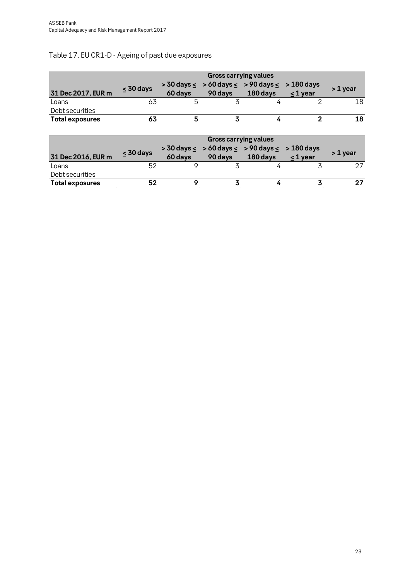## Table 17. EU CR1-D - Ageing of past due exposures

|                        | <b>Gross carrying values</b> |                            |                            |                              |                          |          |  |  |  |
|------------------------|------------------------------|----------------------------|----------------------------|------------------------------|--------------------------|----------|--|--|--|
| 31 Dec 2017, EUR m     | $<$ 30 days                  | $>$ 30 days $<$<br>60 days | $>60$ days $<$<br>90 days  | $> 90$ days $<$<br>180 days  | > 180 days<br>$<$ 1 year | > 1 year |  |  |  |
| Loans                  | 63                           | 5                          | 3                          | 4                            | 2                        | 18       |  |  |  |
| Debt securities        |                              |                            |                            |                              |                          |          |  |  |  |
| <b>Total exposures</b> | 63                           | 5                          | 3                          | 4                            | $\mathfrak{p}$           | 18       |  |  |  |
|                        |                              |                            |                            |                              |                          |          |  |  |  |
|                        |                              |                            |                            | <b>Gross carrying values</b> |                          |          |  |  |  |
|                        |                              | $>$ 30 days $<$            | $> 60 \text{ days} \leq 1$ | $> 90$ days $<$              | $>180$ days              |          |  |  |  |
| 31 Dec 2016, EUR m     | $<$ 30 days                  | 60 days                    | 90 days                    | 180 days                     | $<$ 1 year               | > 1 year |  |  |  |
| Loans                  | 52                           | 9                          | 3                          | 4                            | 3                        | 27       |  |  |  |
| Debt securities        |                              |                            |                            |                              |                          |          |  |  |  |
| <b>Total exposures</b> | 52                           | 9                          | 3                          | 4                            | 3                        | 27       |  |  |  |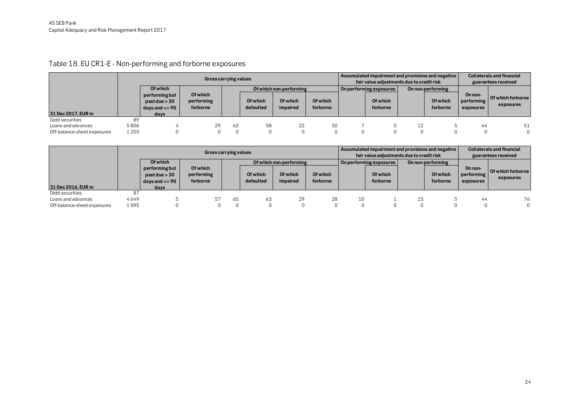Table 18. EU CR1-E - Non-performing and forborne exposures

|                             |         | Gross carrying values           |            |    |           |                         | Accumulated impairment and provisions and negative<br>fair value adjustments due to credit risk |  |                         |  | <b>Collaterals and financial</b><br>guarantees received |            |                                       |
|-----------------------------|---------|---------------------------------|------------|----|-----------|-------------------------|-------------------------------------------------------------------------------------------------|--|-------------------------|--|---------------------------------------------------------|------------|---------------------------------------|
|                             |         | Of which                        | Of which   |    |           | Of which non-performing |                                                                                                 |  | On performing exposures |  | On non-performing                                       | On non-    |                                       |
|                             |         | performing but<br>past due > 30 | performing |    | Of which  | Of which                | Of which                                                                                        |  | Of which                |  | Of which                                                | performing | <b>Of which forborne</b><br>exposures |
| 31 Dec 2017, EUR m          |         | days and $\lt$ = 90<br>davs     | forborne   |    | defaulted | impaired                | forborne                                                                                        |  | forborne                |  | forborne                                                | exposures  |                                       |
| Debt securities             | 89      |                                 |            |    |           |                         |                                                                                                 |  |                         |  |                                                         |            |                                       |
| Loans and advances          | 5806    |                                 | 29         | 62 | 58        | 22                      | 30                                                                                              |  |                         |  |                                                         | 44         | 51                                    |
| Off-balance-sheet exposures | 1 2 5 5 |                                 |            |    |           |                         |                                                                                                 |  |                         |  |                                                         |            | $\Omega$                              |

|                             |      | Gross carrying values                                  |                                    |    |                       |                         | Accumulated impairment and provisions and negative<br>fair value adjustments due to credit risk |    |                         |    | <b>Collaterals and financial</b><br>guarantees received |                                    |                                  |
|-----------------------------|------|--------------------------------------------------------|------------------------------------|----|-----------------------|-------------------------|-------------------------------------------------------------------------------------------------|----|-------------------------|----|---------------------------------------------------------|------------------------------------|----------------------------------|
|                             |      | Of which                                               |                                    |    |                       | Of which non-performing |                                                                                                 |    | On performing exposures |    | On non-performing                                       |                                    |                                  |
|                             |      | performing but<br>past due > 30<br>days and $\lt$ = 90 | Of which<br>performing<br>forborne |    | Of which<br>defaulted | Of which<br>impaired    | Of which<br>forborne                                                                            |    | Of which<br>forborne    |    | Of which<br>forborne                                    | On non-<br>performing<br>exposures | l Of which forborne<br>exposures |
| 31 Dec 2016, EUR m          |      | davs                                                   |                                    |    |                       |                         |                                                                                                 |    |                         |    |                                                         |                                    |                                  |
| Debt securities             | 87   |                                                        |                                    |    |                       |                         |                                                                                                 |    |                         |    |                                                         |                                    |                                  |
| Loans and advances          | 4649 |                                                        | 57                                 | 65 | 63                    | 29                      | 28                                                                                              | 10 |                         | 15 |                                                         | 44                                 | 76                               |
| Off-balance-sheet exposures | 1095 |                                                        |                                    |    |                       |                         |                                                                                                 |    |                         |    |                                                         |                                    |                                  |